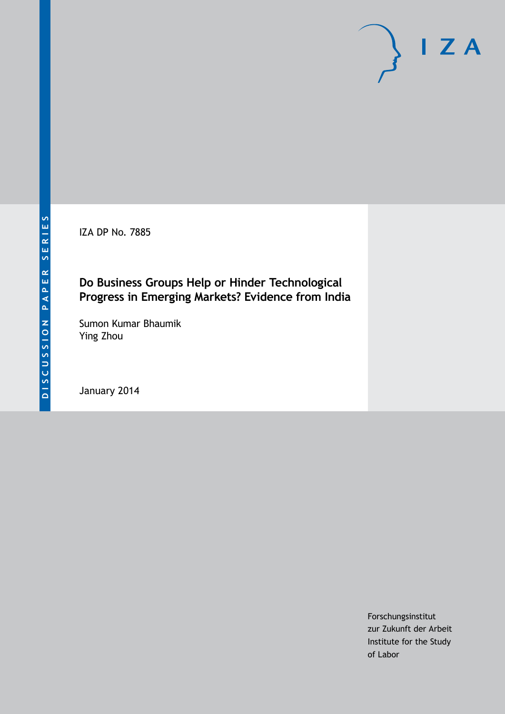IZA DP No. 7885

## **Do Business Groups Help or Hinder Technological Progress in Emerging Markets? Evidence from India**

Sumon Kumar Bhaumik Ying Zhou

January 2014

Forschungsinstitut zur Zukunft der Arbeit Institute for the Study of Labor

 $I Z A$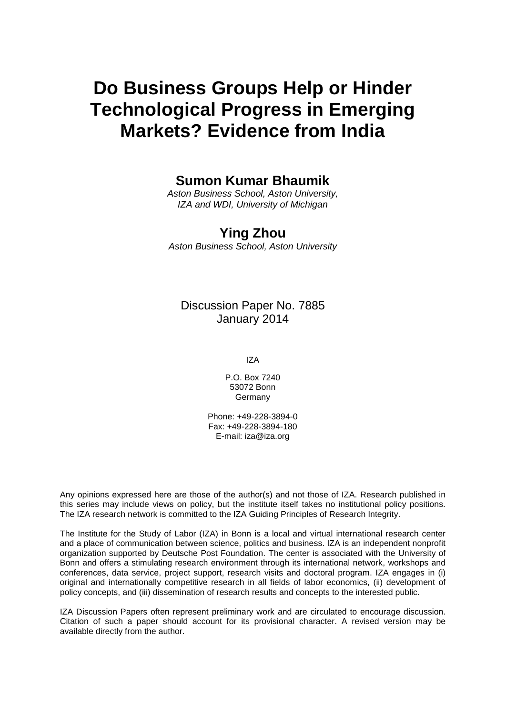# **Do Business Groups Help or Hinder Technological Progress in Emerging Markets? Evidence from India**

### **Sumon Kumar Bhaumik**

*Aston Business School, Aston University, IZA and WDI, University of Michigan*

# **Ying Zhou**

*Aston Business School, Aston University*

### Discussion Paper No. 7885 January 2014

IZA

P.O. Box 7240 53072 Bonn Germany

Phone: +49-228-3894-0 Fax: +49-228-3894-180 E-mail: [iza@iza.org](mailto:iza@iza.org)

Any opinions expressed here are those of the author(s) and not those of IZA. Research published in this series may include views on policy, but the institute itself takes no institutional policy positions. The IZA research network is committed to the IZA Guiding Principles of Research Integrity.

The Institute for the Study of Labor (IZA) in Bonn is a local and virtual international research center and a place of communication between science, politics and business. IZA is an independent nonprofit organization supported by Deutsche Post Foundation. The center is associated with the University of Bonn and offers a stimulating research environment through its international network, workshops and conferences, data service, project support, research visits and doctoral program. IZA engages in (i) original and internationally competitive research in all fields of labor economics, (ii) development of policy concepts, and (iii) dissemination of research results and concepts to the interested public.

<span id="page-1-0"></span>IZA Discussion Papers often represent preliminary work and are circulated to encourage discussion. Citation of such a paper should account for its provisional character. A revised version may be available directly from the author.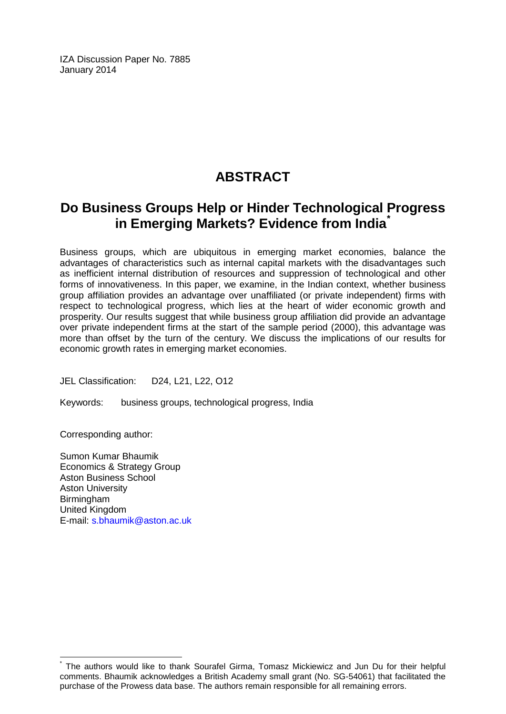IZA Discussion Paper No. 7885 January 2014

# **ABSTRACT**

# **Do Business Groups Help or Hinder Technological Progress in Emerging Markets? Evidence from India[\\*](#page-1-0)**

Business groups, which are ubiquitous in emerging market economies, balance the advantages of characteristics such as internal capital markets with the disadvantages such as inefficient internal distribution of resources and suppression of technological and other forms of innovativeness. In this paper, we examine, in the Indian context, whether business group affiliation provides an advantage over unaffiliated (or private independent) firms with respect to technological progress, which lies at the heart of wider economic growth and prosperity. Our results suggest that while business group affiliation did provide an advantage over private independent firms at the start of the sample period (2000), this advantage was more than offset by the turn of the century. We discuss the implications of our results for economic growth rates in emerging market economies.

JEL Classification: D24, L21, L22, O12

Keywords: business groups, technological progress, India

Corresponding author:

Sumon Kumar Bhaumik Economics & Strategy Group Aston Business School Aston University Birmingham United Kingdom E-mail: [s.bhaumik@aston.ac.uk](mailto:s.bhaumik@aston.ac.uk)

The authors would like to thank Sourafel Girma, Tomasz Mickiewicz and Jun Du for their helpful comments. Bhaumik acknowledges a British Academy small grant (No. SG-54061) that facilitated the purchase of the Prowess data base. The authors remain responsible for all remaining errors.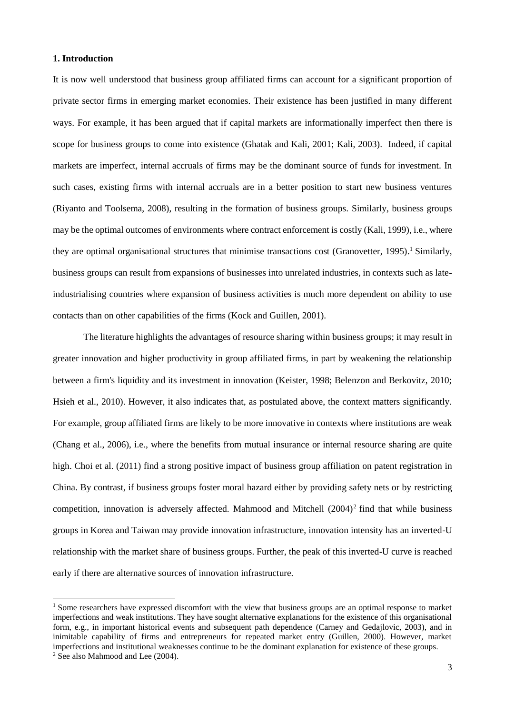#### **1. Introduction**

It is now well understood that business group affiliated firms can account for a significant proportion of private sector firms in emerging market economies. Their existence has been justified in many different ways. For example, it has been argued that if capital markets are informationally imperfect then there is scope for business groups to come into existence (Ghatak and Kali, 2001; Kali, 2003). Indeed, if capital markets are imperfect, internal accruals of firms may be the dominant source of funds for investment. In such cases, existing firms with internal accruals are in a better position to start new business ventures (Riyanto and Toolsema, 2008), resulting in the formation of business groups. Similarly, business groups may be the optimal outcomes of environments where contract enforcement is costly (Kali, 1999), i.e., where they are optimal organisational structures that minimise transactions cost (Granovetter, 1995). <sup>1</sup> Similarly, business groups can result from expansions of businesses into unrelated industries, in contexts such as lateindustrialising countries where expansion of business activities is much more dependent on ability to use contacts than on other capabilities of the firms (Kock and Guillen, 2001).

The literature highlights the advantages of resource sharing within business groups; it may result in greater innovation and higher productivity in group affiliated firms, in part by weakening the relationship between a firm's liquidity and its investment in innovation (Keister, 1998; Belenzon and Berkovitz, 2010; Hsieh et al., 2010). However, it also indicates that, as postulated above, the context matters significantly. For example, group affiliated firms are likely to be more innovative in contexts where institutions are weak (Chang et al., 2006), i.e., where the benefits from mutual insurance or internal resource sharing are quite high. Choi et al. (2011) find a strong positive impact of business group affiliation on patent registration in China. By contrast, if business groups foster moral hazard either by providing safety nets or by restricting competition, innovation is adversely affected. Mahmood and Mitchell (2004)<sup>2</sup> find that while business groups in Korea and Taiwan may provide innovation infrastructure, innovation intensity has an inverted-U relationship with the market share of business groups. Further, the peak of this inverted-U curve is reached early if there are alternative sources of innovation infrastructure.

 $\overline{\phantom{a}}$ 

<sup>&</sup>lt;sup>1</sup> Some researchers have expressed discomfort with the view that business groups are an optimal response to market imperfections and weak institutions. They have sought alternative explanations for the existence of this organisational form, e.g., in important historical events and subsequent path dependence (Carney and Gedajlovic, 2003), and in inimitable capability of firms and entrepreneurs for repeated market entry (Guillen, 2000). However, market imperfections and institutional weaknesses continue to be the dominant explanation for existence of these groups.

<sup>2</sup> See also Mahmood and Lee (2004).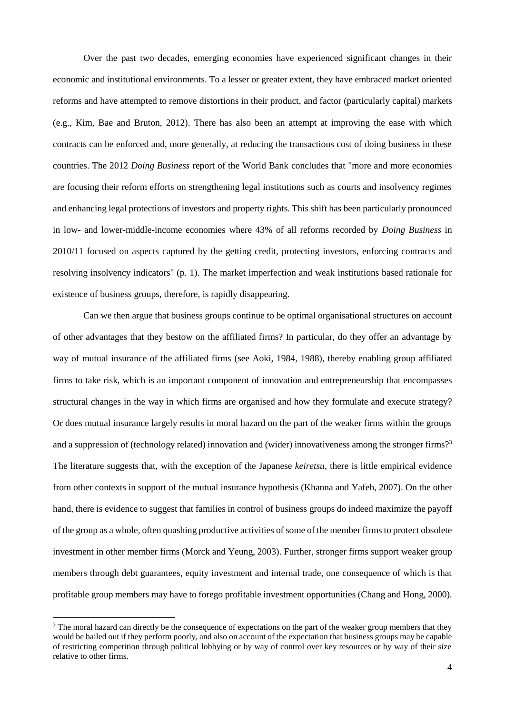Over the past two decades, emerging economies have experienced significant changes in their economic and institutional environments. To a lesser or greater extent, they have embraced market oriented reforms and have attempted to remove distortions in their product, and factor (particularly capital) markets (e.g., Kim, Bae and Bruton, 2012). There has also been an attempt at improving the ease with which contracts can be enforced and, more generally, at reducing the transactions cost of doing business in these countries. The 2012 *Doing Business* report of the World Bank concludes that "more and more economies are focusing their reform efforts on strengthening legal institutions such as courts and insolvency regimes and enhancing legal protections of investors and property rights. This shift has been particularly pronounced in low- and lower-middle-income economies where 43% of all reforms recorded by *Doing Business* in 2010/11 focused on aspects captured by the getting credit, protecting investors, enforcing contracts and resolving insolvency indicators" (p. 1). The market imperfection and weak institutions based rationale for existence of business groups, therefore, is rapidly disappearing.

Can we then argue that business groups continue to be optimal organisational structures on account of other advantages that they bestow on the affiliated firms? In particular, do they offer an advantage by way of mutual insurance of the affiliated firms (see Aoki, 1984, 1988), thereby enabling group affiliated firms to take risk, which is an important component of innovation and entrepreneurship that encompasses structural changes in the way in which firms are organised and how they formulate and execute strategy? Or does mutual insurance largely results in moral hazard on the part of the weaker firms within the groups and a suppression of (technology related) innovation and (wider) innovativeness among the stronger firms?<sup>3</sup> The literature suggests that, with the exception of the Japanese *keiretsu*, there is little empirical evidence from other contexts in support of the mutual insurance hypothesis (Khanna and Yafeh, 2007). On the other hand, there is evidence to suggest that families in control of business groups do indeed maximize the payoff of the group as a whole, often quashing productive activities of some of the member firms to protect obsolete investment in other member firms (Morck and Yeung, 2003). Further, stronger firms support weaker group members through debt guarantees, equity investment and internal trade, one consequence of which is that profitable group members may have to forego profitable investment opportunities (Chang and Hong, 2000).

 $\overline{a}$ 

<sup>&</sup>lt;sup>3</sup> The moral hazard can directly be the consequence of expectations on the part of the weaker group members that they would be bailed out if they perform poorly, and also on account of the expectation that business groups may be capable of restricting competition through political lobbying or by way of control over key resources or by way of their size relative to other firms.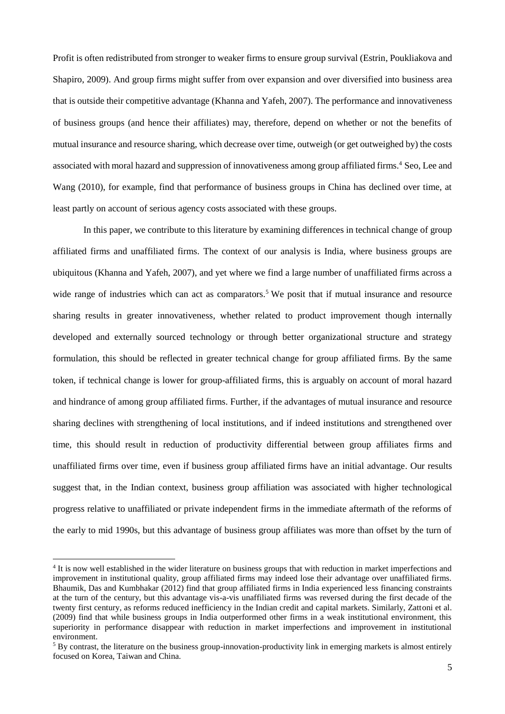Profit is often redistributed from stronger to weaker firms to ensure group survival (Estrin, Poukliakova and Shapiro, 2009). And group firms might suffer from over expansion and over diversified into business area that is outside their competitive advantage (Khanna and Yafeh, 2007). The performance and innovativeness of business groups (and hence their affiliates) may, therefore, depend on whether or not the benefits of mutual insurance and resource sharing, which decrease over time, outweigh (or get outweighed by) the costs associated with moral hazard and suppression of innovativeness among group affiliated firms.<sup>4</sup> Seo, Lee and Wang (2010), for example, find that performance of business groups in China has declined over time, at least partly on account of serious agency costs associated with these groups.

In this paper, we contribute to this literature by examining differences in technical change of group affiliated firms and unaffiliated firms. The context of our analysis is India, where business groups are ubiquitous (Khanna and Yafeh, 2007), and yet where we find a large number of unaffiliated firms across a wide range of industries which can act as comparators.<sup>5</sup> We posit that if mutual insurance and resource sharing results in greater innovativeness, whether related to product improvement though internally developed and externally sourced technology or through better organizational structure and strategy formulation, this should be reflected in greater technical change for group affiliated firms. By the same token, if technical change is lower for group-affiliated firms, this is arguably on account of moral hazard and hindrance of among group affiliated firms. Further, if the advantages of mutual insurance and resource sharing declines with strengthening of local institutions, and if indeed institutions and strengthened over time, this should result in reduction of productivity differential between group affiliates firms and unaffiliated firms over time, even if business group affiliated firms have an initial advantage. Our results suggest that, in the Indian context, business group affiliation was associated with higher technological progress relative to unaffiliated or private independent firms in the immediate aftermath of the reforms of the early to mid 1990s, but this advantage of business group affiliates was more than offset by the turn of

 $\overline{a}$ 

<sup>&</sup>lt;sup>4</sup> It is now well established in the wider literature on business groups that with reduction in market imperfections and improvement in institutional quality, group affiliated firms may indeed lose their advantage over unaffiliated firms. Bhaumik, Das and Kumbhakar (2012) find that group affiliated firms in India experienced less financing constraints at the turn of the century, but this advantage vis-a-vis unaffiliated firms was reversed during the first decade of the twenty first century, as reforms reduced inefficiency in the Indian credit and capital markets. Similarly, Zattoni et al. (2009) find that while business groups in India outperformed other firms in a weak institutional environment, this superiority in performance disappear with reduction in market imperfections and improvement in institutional environment.

<sup>&</sup>lt;sup>5</sup> By contrast, the literature on the business group-innovation-productivity link in emerging markets is almost entirely focused on Korea, Taiwan and China.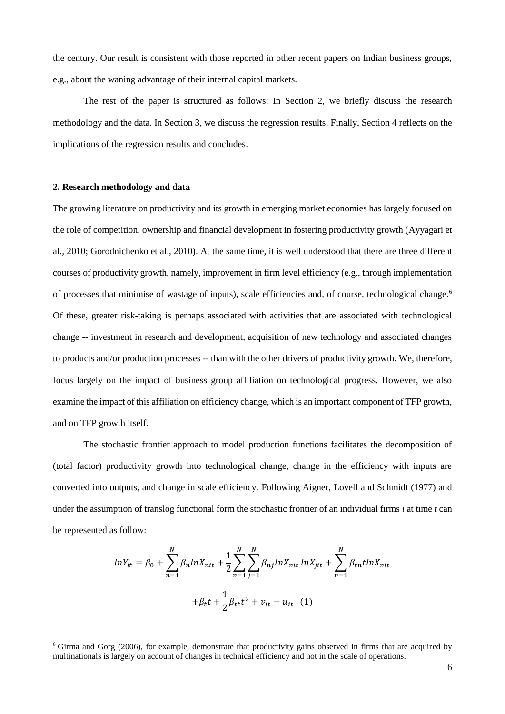the century. Our result is consistent with those reported in other recent papers on Indian business groups, e.g., about the waning advantage of their internal capital markets.

The rest of the paper is structured as follows: In Section 2, we briefly discuss the research methodology and the data. In Section 3, we discuss the regression results. Finally, Section 4 reflects on the implications of the regression results and concludes.

#### **2. Research methodology and data**

 $\overline{\phantom{a}}$ 

The growing literature on productivity and its growth in emerging market economies has largely focused on the role of competition, ownership and financial development in fostering productivity growth (Ayyagari et al., 2010; Gorodnichenko et al., 2010). At the same time, it is well understood that there are three different courses of productivity growth, namely, improvement in firm level efficiency (e.g., through implementation of processes that minimise of wastage of inputs), scale efficiencies and, of course, technological change.<sup>6</sup> Of these, greater risk-taking is perhaps associated with activities that are associated with technological change -- investment in research and development, acquisition of new technology and associated changes to products and/or production processes -- than with the other drivers of productivity growth. We, therefore, focus largely on the impact of business group affiliation on technological progress. However, we also examine the impact of this affiliation on efficiency change, which is an important component of TFP growth, and on TFP growth itself.

The stochastic frontier approach to model production functions facilitates the decomposition of (total factor) productivity growth into technological change, change in the efficiency with inputs are converted into outputs, and change in scale efficiency. Following Aigner, Lovell and Schmidt (1977) and under the assumption of translog functional form the stochastic frontier of an individual firms *i* at time *t* can be represented as follow:

$$
lnY_{it} = \beta_0 + \sum_{n=1}^{N} \beta_n lnX_{nit} + \frac{1}{2} \sum_{n=1}^{N} \sum_{j=1}^{N} \beta_{nj} lnX_{nit} lnX_{jit} + \sum_{n=1}^{N} \beta_{tn} lnX_{nit}
$$

$$
+ \beta_t t + \frac{1}{2} \beta_{tt} t^2 + v_{it} - u_{it} \quad (1)
$$

<sup>6</sup> Girma and Gorg (2006), for example, demonstrate that productivity gains observed in firms that are acquired by multinationals is largely on account of changes in technical efficiency and not in the scale of operations.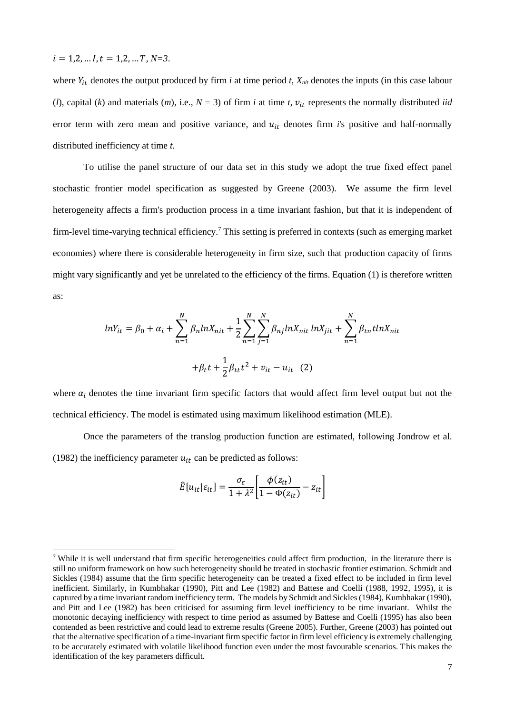$$
i = 1, 2, \ldots I, t = 1, 2, \ldots T, N = 3.
$$

l

where  $Y_{it}$  denotes the output produced by firm *i* at time period *t*,  $X_{nit}$  denotes the inputs (in this case labour (*l*), capital (*k*) and materials (*m*), i.e.,  $N = 3$ ) of firm *i* at time *t*,  $v_{it}$  represents the normally distributed *iid* error term with zero mean and positive variance, and  $u_{it}$  denotes firm  $i$ 's positive and half-normally distributed inefficiency at time *t*.

To utilise the panel structure of our data set in this study we adopt the true fixed effect panel stochastic frontier model specification as suggested by Greene (2003). We assume the firm level heterogeneity affects a firm's production process in a time invariant fashion, but that it is independent of firm-level time-varying technical efficiency.<sup>7</sup> This setting is preferred in contexts (such as emerging market economies) where there is considerable heterogeneity in firm size, such that production capacity of firms might vary significantly and yet be unrelated to the efficiency of the firms. Equation (1) is therefore written as:

$$
lnY_{it} = \beta_0 + \alpha_i + \sum_{n=1}^{N} \beta_n lnX_{nit} + \frac{1}{2} \sum_{n=1}^{N} \sum_{j=1}^{N} \beta_{nj} lnX_{nit} lnX_{jit} + \sum_{n=1}^{N} \beta_{tn} lnX_{nit}
$$

$$
+ \beta_t t + \frac{1}{2} \beta_{tt} t^2 + v_{it} - u_{it} \quad (2)
$$

where  $\alpha_i$  denotes the time invariant firm specific factors that would affect firm level output but not the technical efficiency. The model is estimated using maximum likelihood estimation (MLE).

Once the parameters of the translog production function are estimated, following Jondrow et al. (1982) the inefficiency parameter  $u_{it}$  can be predicted as follows:

$$
\hat{E}[u_{it}|\varepsilon_{it}] = \frac{\sigma_{\varepsilon}}{1 + \lambda^2} \left[ \frac{\phi(z_{it})}{1 - \phi(z_{it})} - z_{it} \right]
$$

<sup>7</sup> While it is well understand that firm specific heterogeneities could affect firm production, in the literature there is still no uniform framework on how such heterogeneity should be treated in stochastic frontier estimation. Schmidt and Sickles (1984) assume that the firm specific heterogeneity can be treated a fixed effect to be included in firm level inefficient. Similarly, in Kumbhakar (1990), Pitt and Lee (1982) and Battese and Coelli (1988, 1992, 1995), it is captured by a time invariant random inefficiency term. The models by Schmidt and Sickles (1984), Kumbhakar (1990), and Pitt and Lee (1982) has been criticised for assuming firm level inefficiency to be time invariant. Whilst the monotonic decaying inefficiency with respect to time period as assumed by Battese and Coelli (1995) has also been contended as been restrictive and could lead to extreme results (Greene 2005). Further, Greene (2003) has pointed out that the alternative specification of a time-invariant firm specific factor in firm level efficiency is extremely challenging to be accurately estimated with volatile likelihood function even under the most favourable scenarios. This makes the identification of the key parameters difficult.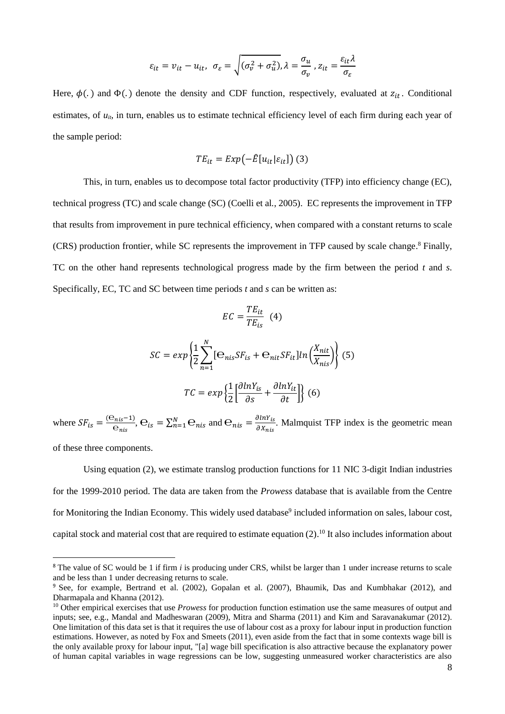$$
\varepsilon_{it} = v_{it} - u_{it}, \ \ \sigma_{\varepsilon} = \sqrt{(\sigma_v^2 + \sigma_u^2)}, \lambda = \frac{\sigma_u}{\sigma_v}, z_{it} = \frac{\varepsilon_{it}\lambda}{\sigma_{\varepsilon}}
$$

Here,  $\phi(.)$  and  $\Phi(.)$  denote the density and CDF function, respectively, evaluated at  $z_{it}$ . Conditional estimates, of  $u_{ii}$ , in turn, enables us to estimate technical efficiency level of each firm during each year of the sample period:

$$
TE_{it} = Exp(-\hat{E}[u_{it}|\varepsilon_{it}])
$$
 (3)

This, in turn, enables us to decompose total factor productivity (TFP) into efficiency change (EC), technical progress (TC) and scale change (SC) (Coelli et al*.*, 2005). EC represents the improvement in TFP that results from improvement in pure technical efficiency, when compared with a constant returns to scale (CRS) production frontier, while SC represents the improvement in TFP caused by scale change. <sup>8</sup> Finally, TC on the other hand represents technological progress made by the firm between the period *t* and *s*. Specifically, EC, TC and SC between time periods *t* and *s* can be written as:

$$
EC = \frac{TE_{it}}{TE_{is}} \quad (4)
$$

$$
SC = exp\left\{\frac{1}{2}\sum_{n=1}^{N} [\mathbf{e}_{nis}SF_{is} + \mathbf{e}_{nit}SF_{it}]ln\left(\frac{X_{nit}}{X_{nis}}\right)\right\}
$$
(5)  

$$
TC = exp\left\{\frac{1}{2}\left[\frac{\partial lnY_{is}}{\partial s} + \frac{\partial lnY_{it}}{\partial t}\right]\right\}
$$
(6)

where  $SF_{is} = \frac{(\Theta_{nis} - 1)}{\Theta}$  $\frac{\Theta_{nis}-1}{\Theta_{nis}}$ ,  $\Theta_{is} = \sum_{n=1}^{N} \Theta_{nis}$  and  $\Theta_{nis} = \frac{\partial lnY_{is}}{\partial X_{nis}}$  $\frac{\partial ln_{1is}}{\partial x_{nis}}$ . Malmquist TFP index is the geometric mean

of these three components.

 $\overline{a}$ 

Using equation (2), we estimate translog production functions for 11 NIC 3-digit Indian industries for the 1999-2010 period. The data are taken from the *Prowess* database that is available from the Centre for Monitoring the Indian Economy. This widely used database<sup>9</sup> included information on sales, labour cost, capital stock and material cost that are required to estimate equation  $(2)$ .<sup>10</sup> It also includes information about

<sup>&</sup>lt;sup>8</sup> The value of SC would be 1 if firm *i* is producing under CRS, whilst be larger than 1 under increase returns to scale and be less than 1 under decreasing returns to scale.

<sup>9</sup> See, for example, Bertrand et al. (2002), Gopalan et al. (2007), Bhaumik, Das and Kumbhakar (2012), and Dharmapala and Khanna (2012).

<sup>&</sup>lt;sup>10</sup> Other empirical exercises that use *Prowess* for production function estimation use the same measures of output and inputs; see, e.g., Mandal and Madheswaran (2009), Mitra and Sharma (2011) and Kim and Saravanakumar (2012). One limitation of this data set is that it requires the use of labour cost as a proxy for labour input in production function estimations. However, as noted by Fox and Smeets (2011), even aside from the fact that in some contexts wage bill is the only available proxy for labour input, "[a] wage bill specification is also attractive because the explanatory power of human capital variables in wage regressions can be low, suggesting unmeasured worker characteristics are also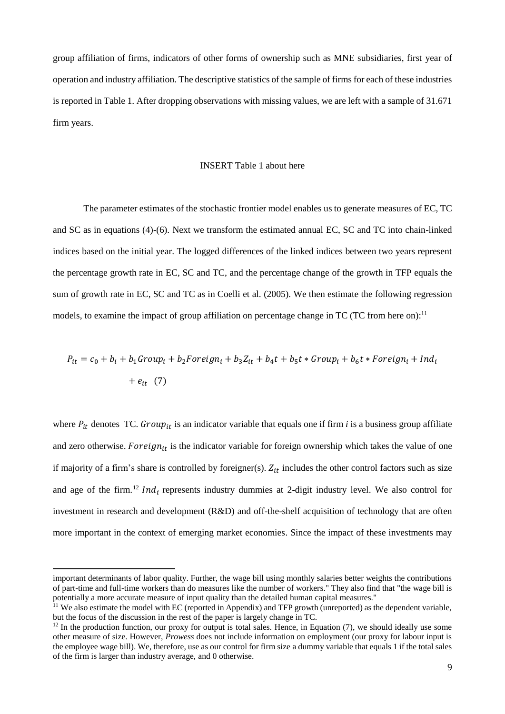group affiliation of firms, indicators of other forms of ownership such as MNE subsidiaries, first year of operation and industry affiliation. The descriptive statistics of the sample of firms for each of these industries is reported in Table 1. After dropping observations with missing values, we are left with a sample of 31.671 firm years.

#### INSERT Table 1 about here

The parameter estimates of the stochastic frontier model enables us to generate measures of EC, TC and SC as in equations (4)-(6). Next we transform the estimated annual EC, SC and TC into chain-linked indices based on the initial year. The logged differences of the linked indices between two years represent the percentage growth rate in EC, SC and TC, and the percentage change of the growth in TFP equals the sum of growth rate in EC, SC and TC as in Coelli et al. (2005). We then estimate the following regression models, to examine the impact of group affiliation on percentage change in TC (TC from here on):<sup>11</sup>

$$
P_{it} = c_0 + b_i + b_1 Group_i + b_2 Foreign_i + b_3Z_{it} + b_4t + b_5t * Group_i + b_6t * Foreign_i + Ind_i
$$
  
+  $e_{it}$  (7)

where  $P_{it}$  denotes TC.  $Group_{it}$  is an indicator variable that equals one if firm *i* is a business group affiliate and zero otherwise. Foreign<sub>it</sub> is the indicator variable for foreign ownership which takes the value of one if majority of a firm's share is controlled by foreigner(s).  $Z_{it}$  includes the other control factors such as size and age of the firm.<sup>12</sup> *Ind<sub>i</sub>* represents industry dummies at 2-digit industry level. We also control for investment in research and development (R&D) and off-the-shelf acquisition of technology that are often more important in the context of emerging market economies. Since the impact of these investments may

 $\overline{\phantom{a}}$ 

important determinants of labor quality. Further, the wage bill using monthly salaries better weights the contributions of part-time and full-time workers than do measures like the number of workers." They also find that "the wage bill is potentially a more accurate measure of input quality than the detailed human capital measures."

 $11$  We also estimate the model with EC (reported in Appendix) and TFP growth (unreported) as the dependent variable, but the focus of the discussion in the rest of the paper is largely change in TC.

 $12$  In the production function, our proxy for output is total sales. Hence, in Equation (7), we should ideally use some other measure of size. However, *Prowess* does not include information on employment (our proxy for labour input is the employee wage bill). We, therefore, use as our control for firm size a dummy variable that equals 1 if the total sales of the firm is larger than industry average, and 0 otherwise.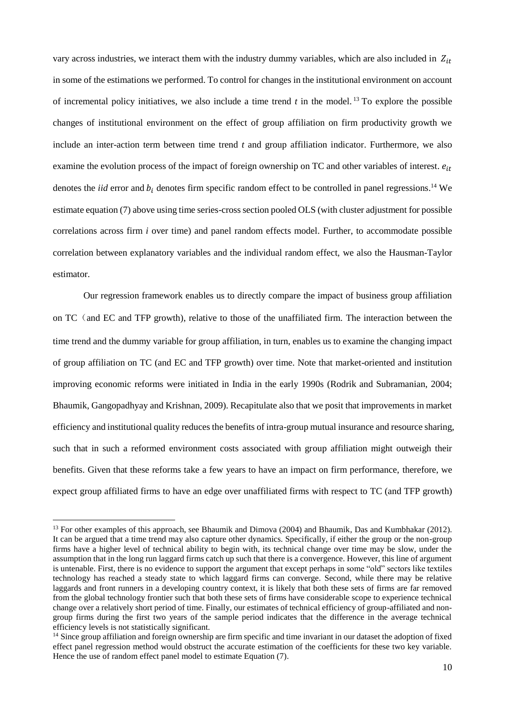vary across industries, we interact them with the industry dummy variables, which are also included in  $Z_{it}$ in some of the estimations we performed. To control for changes in the institutional environment on account of incremental policy initiatives, we also include a time trend  $t$  in the model.<sup>13</sup> To explore the possible changes of institutional environment on the effect of group affiliation on firm productivity growth we include an inter-action term between time trend *t* and group affiliation indicator. Furthermore, we also examine the evolution process of the impact of foreign ownership on TC and other variables of interest.  $e_{it}$ denotes the *iid* error and  $b_i$  denotes firm specific random effect to be controlled in panel regressions.<sup>14</sup> We estimate equation (7) above using time series-cross section pooled OLS (with cluster adjustment for possible correlations across firm *i* over time) and panel random effects model. Further, to accommodate possible correlation between explanatory variables and the individual random effect, we also the Hausman-Taylor estimator.

Our regression framework enables us to directly compare the impact of business group affiliation on TC(and EC and TFP growth), relative to those of the unaffiliated firm. The interaction between the time trend and the dummy variable for group affiliation, in turn, enables us to examine the changing impact of group affiliation on TC (and EC and TFP growth) over time. Note that market-oriented and institution improving economic reforms were initiated in India in the early 1990s (Rodrik and Subramanian, 2004; Bhaumik, Gangopadhyay and Krishnan, 2009). Recapitulate also that we posit that improvements in market efficiency and institutional quality reduces the benefits of intra-group mutual insurance and resource sharing, such that in such a reformed environment costs associated with group affiliation might outweigh their benefits. Given that these reforms take a few years to have an impact on firm performance, therefore, we expect group affiliated firms to have an edge over unaffiliated firms with respect to TC (and TFP growth)

 $\overline{\phantom{a}}$ 

<sup>&</sup>lt;sup>13</sup> For other examples of this approach, see Bhaumik and Dimova (2004) and Bhaumik, Das and Kumbhakar (2012). It can be argued that a time trend may also capture other dynamics. Specifically, if either the group or the non-group firms have a higher level of technical ability to begin with, its technical change over time may be slow, under the assumption that in the long run laggard firms catch up such that there is a convergence. However, this line of argument is untenable. First, there is no evidence to support the argument that except perhaps in some "old" sectors like textiles technology has reached a steady state to which laggard firms can converge. Second, while there may be relative laggards and front runners in a developing country context, it is likely that both these sets of firms are far removed from the global technology frontier such that both these sets of firms have considerable scope to experience technical change over a relatively short period of time. Finally, our estimates of technical efficiency of group-affiliated and nongroup firms during the first two years of the sample period indicates that the difference in the average technical efficiency levels is not statistically significant.

<sup>&</sup>lt;sup>14</sup> Since group affiliation and foreign ownership are firm specific and time invariant in our dataset the adoption of fixed effect panel regression method would obstruct the accurate estimation of the coefficients for these two key variable. Hence the use of random effect panel model to estimate Equation (7).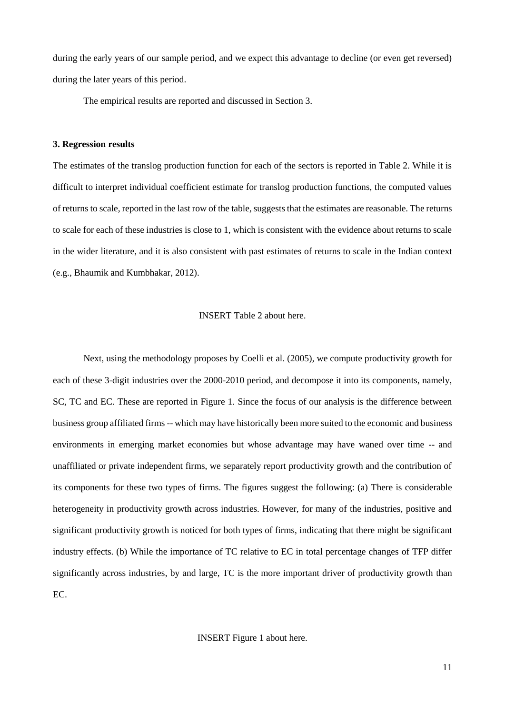during the early years of our sample period, and we expect this advantage to decline (or even get reversed) during the later years of this period.

The empirical results are reported and discussed in Section 3.

#### **3. Regression results**

The estimates of the translog production function for each of the sectors is reported in Table 2. While it is difficult to interpret individual coefficient estimate for translog production functions, the computed values of returns to scale, reported in the last row of the table, suggests that the estimates are reasonable. The returns to scale for each of these industries is close to 1, which is consistent with the evidence about returns to scale in the wider literature, and it is also consistent with past estimates of returns to scale in the Indian context (e.g., Bhaumik and Kumbhakar, 2012).

#### INSERT Table 2 about here.

Next, using the methodology proposes by Coelli et al. (2005), we compute productivity growth for each of these 3-digit industries over the 2000-2010 period, and decompose it into its components, namely, SC, TC and EC. These are reported in Figure 1. Since the focus of our analysis is the difference between business group affiliated firms -- which may have historically been more suited to the economic and business environments in emerging market economies but whose advantage may have waned over time -- and unaffiliated or private independent firms, we separately report productivity growth and the contribution of its components for these two types of firms. The figures suggest the following: (a) There is considerable heterogeneity in productivity growth across industries. However, for many of the industries, positive and significant productivity growth is noticed for both types of firms, indicating that there might be significant industry effects. (b) While the importance of TC relative to EC in total percentage changes of TFP differ significantly across industries, by and large, TC is the more important driver of productivity growth than EC.

#### INSERT Figure 1 about here.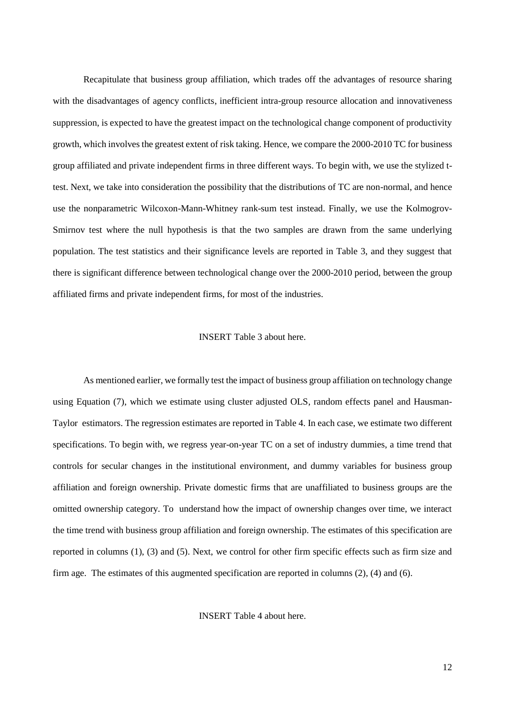Recapitulate that business group affiliation, which trades off the advantages of resource sharing with the disadvantages of agency conflicts, inefficient intra-group resource allocation and innovativeness suppression, is expected to have the greatest impact on the technological change component of productivity growth, which involves the greatest extent of risk taking. Hence, we compare the 2000-2010 TC for business group affiliated and private independent firms in three different ways. To begin with, we use the stylized ttest. Next, we take into consideration the possibility that the distributions of TC are non-normal, and hence use the nonparametric Wilcoxon-Mann-Whitney rank-sum test instead. Finally, we use the Kolmogrov-Smirnov test where the null hypothesis is that the two samples are drawn from the same underlying population. The test statistics and their significance levels are reported in Table 3, and they suggest that there is significant difference between technological change over the 2000-2010 period, between the group affiliated firms and private independent firms, for most of the industries.

#### INSERT Table 3 about here.

As mentioned earlier, we formally test the impact of business group affiliation on technology change using Equation (7), which we estimate using cluster adjusted OLS, random effects panel and Hausman-Taylor estimators. The regression estimates are reported in Table 4. In each case, we estimate two different specifications. To begin with, we regress year-on-year TC on a set of industry dummies, a time trend that controls for secular changes in the institutional environment, and dummy variables for business group affiliation and foreign ownership. Private domestic firms that are unaffiliated to business groups are the omitted ownership category. To understand how the impact of ownership changes over time, we interact the time trend with business group affiliation and foreign ownership. The estimates of this specification are reported in columns (1), (3) and (5). Next, we control for other firm specific effects such as firm size and firm age. The estimates of this augmented specification are reported in columns (2), (4) and (6).

INSERT Table 4 about here.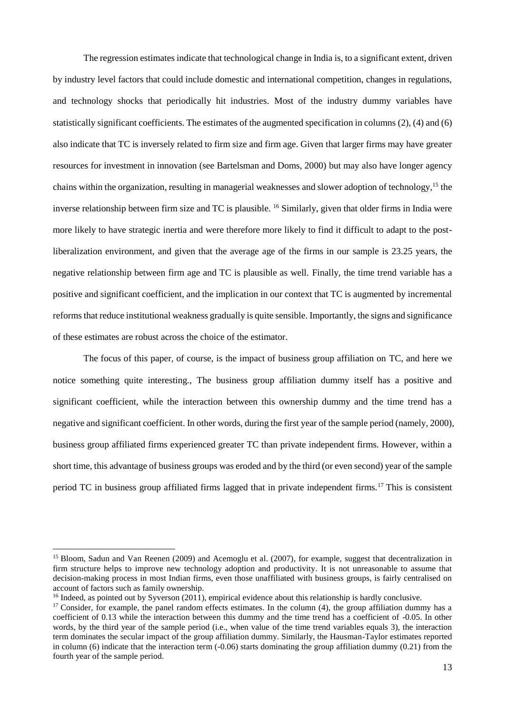The regression estimates indicate that technological change in India is, to a significant extent, driven by industry level factors that could include domestic and international competition, changes in regulations, and technology shocks that periodically hit industries. Most of the industry dummy variables have statistically significant coefficients. The estimates of the augmented specification in columns (2), (4) and (6) also indicate that TC is inversely related to firm size and firm age. Given that larger firms may have greater resources for investment in innovation (see Bartelsman and Doms, 2000) but may also have longer agency chains within the organization, resulting in managerial weaknesses and slower adoption of technology, <sup>15</sup> the inverse relationship between firm size and TC is plausible. <sup>16</sup> Similarly, given that older firms in India were more likely to have strategic inertia and were therefore more likely to find it difficult to adapt to the postliberalization environment, and given that the average age of the firms in our sample is 23.25 years, the negative relationship between firm age and TC is plausible as well. Finally, the time trend variable has a positive and significant coefficient, and the implication in our context that TC is augmented by incremental reforms that reduce institutional weakness gradually is quite sensible. Importantly, the signs and significance of these estimates are robust across the choice of the estimator.

The focus of this paper, of course, is the impact of business group affiliation on TC, and here we notice something quite interesting., The business group affiliation dummy itself has a positive and significant coefficient, while the interaction between this ownership dummy and the time trend has a negative and significant coefficient. In other words, during the first year of the sample period (namely, 2000), business group affiliated firms experienced greater TC than private independent firms. However, within a short time, this advantage of business groups was eroded and by the third (or even second) year of the sample period TC in business group affiliated firms lagged that in private independent firms.<sup>17</sup> This is consistent

l

<sup>&</sup>lt;sup>15</sup> Bloom, Sadun and Van Reenen (2009) and Acemoglu et al. (2007), for example, suggest that decentralization in firm structure helps to improve new technology adoption and productivity. It is not unreasonable to assume that decision-making process in most Indian firms, even those unaffiliated with business groups, is fairly centralised on account of factors such as family ownership.

 $16$  Indeed, as pointed out by Syverson (2011), empirical evidence about this relationship is hardly conclusive.

 $17$  Consider, for example, the panel random effects estimates. In the column (4), the group affiliation dummy has a coefficient of 0.13 while the interaction between this dummy and the time trend has a coefficient of -0.05. In other words, by the third year of the sample period (i.e., when value of the time trend variables equals 3), the interaction term dominates the secular impact of the group affiliation dummy. Similarly, the Hausman-Taylor estimates reported in column (6) indicate that the interaction term  $(-0.06)$  starts dominating the group affiliation dummy  $(0.21)$  from the fourth year of the sample period.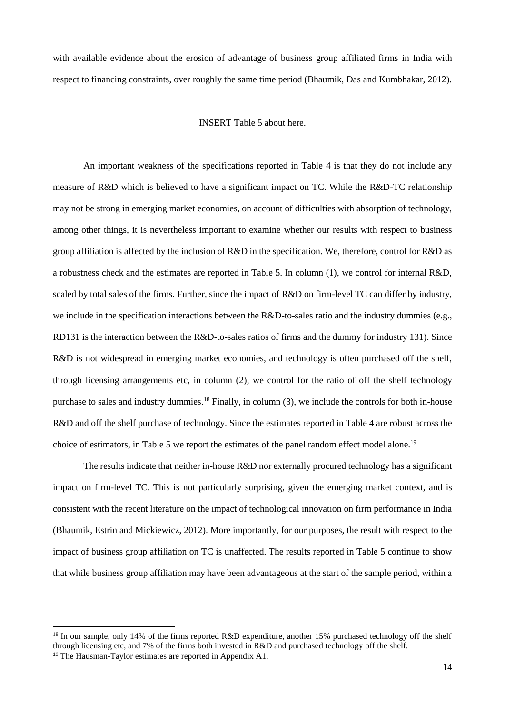with available evidence about the erosion of advantage of business group affiliated firms in India with respect to financing constraints, over roughly the same time period (Bhaumik, Das and Kumbhakar, 2012).

#### INSERT Table 5 about here.

An important weakness of the specifications reported in Table 4 is that they do not include any measure of R&D which is believed to have a significant impact on TC. While the R&D-TC relationship may not be strong in emerging market economies, on account of difficulties with absorption of technology, among other things, it is nevertheless important to examine whether our results with respect to business group affiliation is affected by the inclusion of R&D in the specification. We, therefore, control for R&D as a robustness check and the estimates are reported in Table 5. In column (1), we control for internal R&D, scaled by total sales of the firms. Further, since the impact of R&D on firm-level TC can differ by industry, we include in the specification interactions between the R&D-to-sales ratio and the industry dummies (e.g., RD131 is the interaction between the R&D-to-sales ratios of firms and the dummy for industry 131). Since R&D is not widespread in emerging market economies, and technology is often purchased off the shelf, through licensing arrangements etc, in column (2), we control for the ratio of off the shelf technology purchase to sales and industry dummies.<sup>18</sup> Finally, in column (3), we include the controls for both in-house R&D and off the shelf purchase of technology. Since the estimates reported in Table 4 are robust across the choice of estimators, in Table 5 we report the estimates of the panel random effect model alone.<sup>19</sup>

The results indicate that neither in-house R&D nor externally procured technology has a significant impact on firm-level TC. This is not particularly surprising, given the emerging market context, and is consistent with the recent literature on the impact of technological innovation on firm performance in India (Bhaumik, Estrin and Mickiewicz, 2012). More importantly, for our purposes, the result with respect to the impact of business group affiliation on TC is unaffected. The results reported in Table 5 continue to show that while business group affiliation may have been advantageous at the start of the sample period, within a

 $\overline{a}$ 

<sup>&</sup>lt;sup>18</sup> In our sample, only 14% of the firms reported R&D expenditure, another 15% purchased technology off the shelf through licensing etc, and 7% of the firms both invested in R&D and purchased technology off the shelf. <sup>19</sup> The Hausman-Taylor estimates are reported in Appendix A1.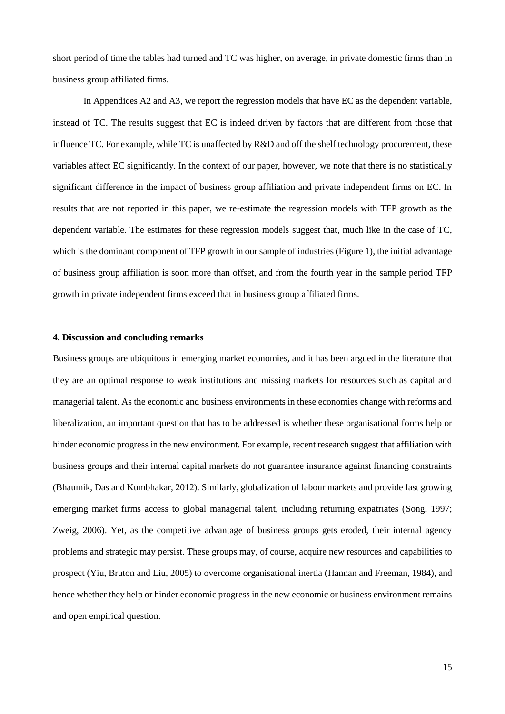short period of time the tables had turned and TC was higher, on average, in private domestic firms than in business group affiliated firms.

In Appendices A2 and A3, we report the regression models that have EC as the dependent variable, instead of TC. The results suggest that EC is indeed driven by factors that are different from those that influence TC. For example, while TC is unaffected by R&D and off the shelf technology procurement, these variables affect EC significantly. In the context of our paper, however, we note that there is no statistically significant difference in the impact of business group affiliation and private independent firms on EC. In results that are not reported in this paper, we re-estimate the regression models with TFP growth as the dependent variable. The estimates for these regression models suggest that, much like in the case of TC, which is the dominant component of TFP growth in our sample of industries (Figure 1), the initial advantage of business group affiliation is soon more than offset, and from the fourth year in the sample period TFP growth in private independent firms exceed that in business group affiliated firms.

#### **4. Discussion and concluding remarks**

Business groups are ubiquitous in emerging market economies, and it has been argued in the literature that they are an optimal response to weak institutions and missing markets for resources such as capital and managerial talent. As the economic and business environments in these economies change with reforms and liberalization, an important question that has to be addressed is whether these organisational forms help or hinder economic progress in the new environment. For example, recent research suggest that affiliation with business groups and their internal capital markets do not guarantee insurance against financing constraints (Bhaumik, Das and Kumbhakar, 2012). Similarly, globalization of labour markets and provide fast growing emerging market firms access to global managerial talent, including returning expatriates (Song, 1997; Zweig, 2006). Yet, as the competitive advantage of business groups gets eroded, their internal agency problems and strategic may persist. These groups may, of course, acquire new resources and capabilities to prospect (Yiu, Bruton and Liu, 2005) to overcome organisational inertia (Hannan and Freeman, 1984), and hence whether they help or hinder economic progress in the new economic or business environment remains and open empirical question.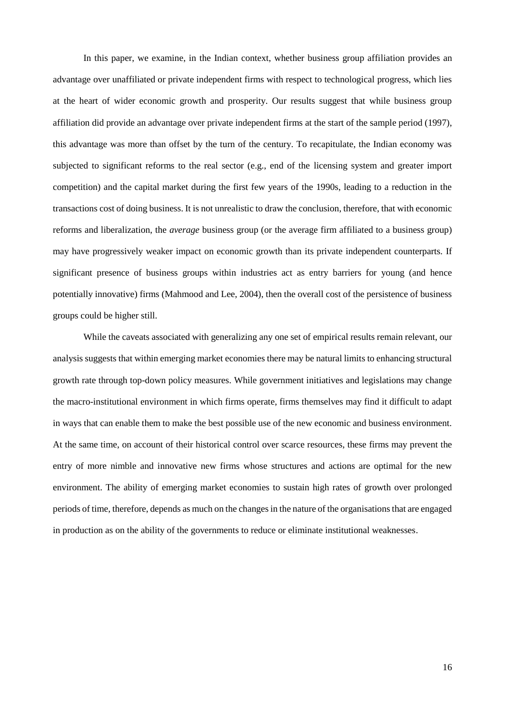In this paper, we examine, in the Indian context, whether business group affiliation provides an advantage over unaffiliated or private independent firms with respect to technological progress, which lies at the heart of wider economic growth and prosperity. Our results suggest that while business group affiliation did provide an advantage over private independent firms at the start of the sample period (1997), this advantage was more than offset by the turn of the century. To recapitulate, the Indian economy was subjected to significant reforms to the real sector (e.g., end of the licensing system and greater import competition) and the capital market during the first few years of the 1990s, leading to a reduction in the transactions cost of doing business. It is not unrealistic to draw the conclusion, therefore, that with economic reforms and liberalization, the *average* business group (or the average firm affiliated to a business group) may have progressively weaker impact on economic growth than its private independent counterparts. If significant presence of business groups within industries act as entry barriers for young (and hence potentially innovative) firms (Mahmood and Lee, 2004), then the overall cost of the persistence of business groups could be higher still.

While the caveats associated with generalizing any one set of empirical results remain relevant, our analysis suggests that within emerging market economies there may be natural limits to enhancing structural growth rate through top-down policy measures. While government initiatives and legislations may change the macro-institutional environment in which firms operate, firms themselves may find it difficult to adapt in ways that can enable them to make the best possible use of the new economic and business environment. At the same time, on account of their historical control over scarce resources, these firms may prevent the entry of more nimble and innovative new firms whose structures and actions are optimal for the new environment. The ability of emerging market economies to sustain high rates of growth over prolonged periods of time, therefore, depends as much on the changes in the nature of the organisations that are engaged in production as on the ability of the governments to reduce or eliminate institutional weaknesses.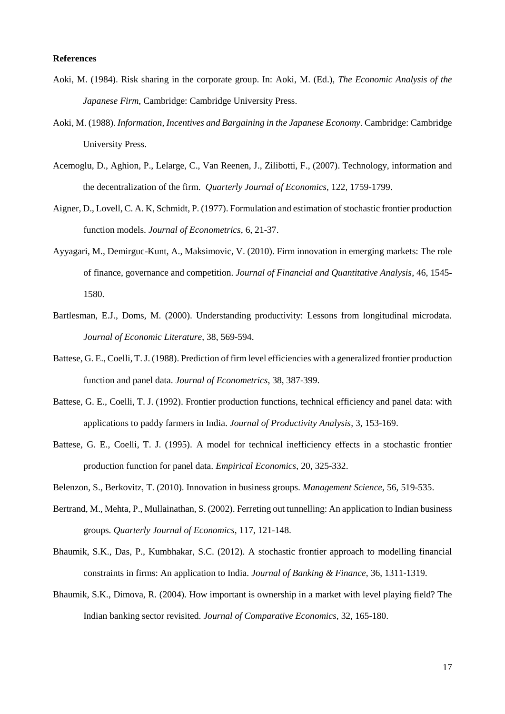#### **References**

- Aoki, M. (1984). Risk sharing in the corporate group. In: Aoki, M. (Ed.), *The Economic Analysis of the Japanese Firm*, Cambridge: Cambridge University Press.
- Aoki, M. (1988). *Information, Incentives and Bargaining in the Japanese Economy*. Cambridge: Cambridge University Press.
- Acemoglu, D., Aghion, P., Lelarge, C., Van Reenen, J., Zilibotti, F., (2007). Technology, information and the decentralization of the firm. *Quarterly Journal of Economics*, 122, 1759-1799.
- Aigner, D., Lovell, C. A. K, Schmidt, P. (1977). Formulation and estimation of stochastic frontier production function models. *Journal of Econometrics*, 6, 21-37.
- Ayyagari, M., Demirguc-Kunt, A., Maksimovic, V. (2010). Firm innovation in emerging markets: The role of finance, governance and competition. *Journal of Financial and Quantitative Analysis*, 46, 1545- 1580.
- Bartlesman, E.J., Doms, M. (2000). Understanding productivity: Lessons from longitudinal microdata. *Journal of Economic Literature*, 38, 569-594.
- Battese, G. E., Coelli, T. J. (1988). Prediction of firm level efficiencies with a generalized frontier production function and panel data. *Journal of Econometrics*, 38, 387-399.
- Battese, G. E., Coelli, T. J. (1992). Frontier production functions, technical efficiency and panel data: with applications to paddy farmers in India. *Journal of Productivity Analysis*, 3, 153-169.
- Battese, G. E., Coelli, T. J. (1995). A model for technical inefficiency effects in a stochastic frontier production function for panel data. *Empirical Economics*, 20, 325-332.
- Belenzon, S., Berkovitz, T. (2010). Innovation in business groups. *Management Science*, 56, 519-535.
- Bertrand, M., Mehta, P., Mullainathan, S. (2002). Ferreting out tunnelling: An application to Indian business groups. *Quarterly Journal of Economics*, 117, 121-148.
- Bhaumik, S.K., Das, P., Kumbhakar, S.C. (2012). A stochastic frontier approach to modelling financial constraints in firms: An application to India. *Journal of Banking & Finance*, 36, 1311-1319.
- Bhaumik, S.K., Dimova, R. (2004). How important is ownership in a market with level playing field? The Indian banking sector revisited. *Journal of Comparative Economics*, 32, 165-180.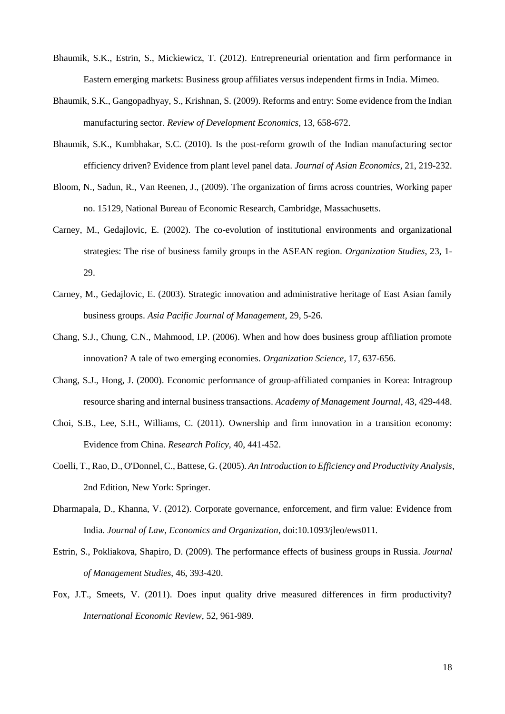- Bhaumik, S.K., Estrin, S., Mickiewicz, T. (2012). Entrepreneurial orientation and firm performance in Eastern emerging markets: Business group affiliates versus independent firms in India. Mimeo.
- Bhaumik, S.K., Gangopadhyay, S., Krishnan, S. (2009). Reforms and entry: Some evidence from the Indian manufacturing sector. *Review of Development Economics*, 13, 658-672.
- Bhaumik, S.K., Kumbhakar, S.C. (2010). Is the post-reform growth of the Indian manufacturing sector efficiency driven? Evidence from plant level panel data. *Journal of Asian Economics*, 21, 219-232.
- Bloom, N., Sadun, R., Van Reenen, J., (2009). The organization of firms across countries, Working paper no. 15129, National Bureau of Economic Research, Cambridge, Massachusetts.
- Carney, M., Gedajlovic, E. (2002). The co-evolution of institutional environments and organizational strategies: The rise of business family groups in the ASEAN region. *Organization Studies*, 23, 1- 29.
- Carney, M., Gedajlovic, E. (2003). Strategic innovation and administrative heritage of East Asian family business groups. *Asia Pacific Journal of Management*, 29, 5-26.
- Chang, S.J., Chung, C.N., Mahmood, I.P. (2006). When and how does business group affiliation promote innovation? A tale of two emerging economies. *Organization Science*, 17, 637-656.
- Chang, S.J., Hong, J. (2000). Economic performance of group-affiliated companies in Korea: Intragroup resource sharing and internal business transactions. *Academy of Management Journal*, 43, 429-448.
- Choi, S.B., Lee, S.H., Williams, C. (2011). Ownership and firm innovation in a transition economy: Evidence from China. *Research Policy*, 40, 441-452.
- Coelli, T., Rao, D., O'Donnel, C., Battese, G. (2005). *An Introduction to Efficiency and Productivity Analysis*, 2nd Edition, New York: Springer.
- Dharmapala, D., Khanna, V. (2012). Corporate governance, enforcement, and firm value: Evidence from India. *Journal of Law, Economics and Organization*, doi:10.1093/jleo/ews011*.*
- Estrin, S., Pokliakova, Shapiro, D. (2009). The performance effects of business groups in Russia. *Journal of Management Studies*, 46, 393-420.
- Fox, J.T., Smeets, V. (2011). Does input quality drive measured differences in firm productivity? *International Economic Review*, 52, 961-989.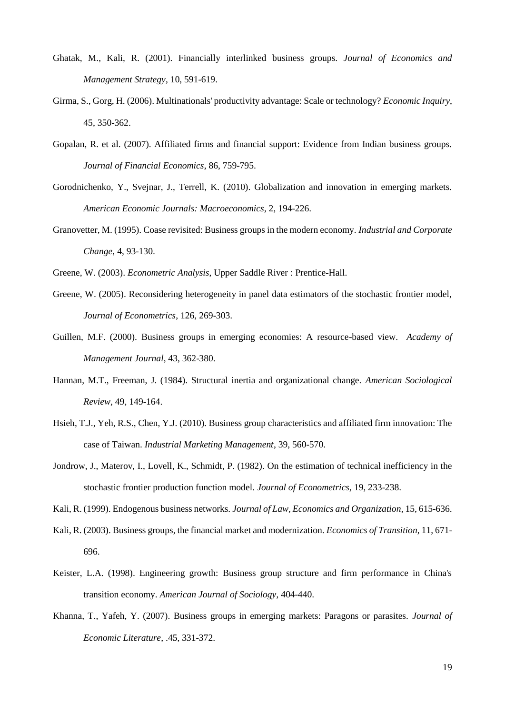- Ghatak, M., Kali, R. (2001). Financially interlinked business groups. *Journal of Economics and Management Strategy*, 10, 591-619.
- Girma, S., Gorg, H. (2006). Multinationals' productivity advantage: Scale or technology? *Economic Inquiry*, 45, 350-362.
- Gopalan, R. et al. (2007). Affiliated firms and financial support: Evidence from Indian business groups. *Journal of Financial Economics*, 86, 759-795.
- Gorodnichenko, Y., Svejnar, J., Terrell, K. (2010). Globalization and innovation in emerging markets. *American Economic Journals: Macroeconomics*, 2, 194-226.
- Granovetter, M. (1995). Coase revisited: Business groups in the modern economy. *Industrial and Corporate Change*, 4, 93-130.
- Greene, W. (2003). *Econometric Analysis*, Upper Saddle River : Prentice-Hall.
- Greene, W. (2005). Reconsidering heterogeneity in panel data estimators of the stochastic frontier model, *Journal of Econometrics*, 126, 269-303.
- Guillen, M.F. (2000). Business groups in emerging economies: A resource-based view. *Academy of Management Journal*, 43, 362-380.
- Hannan, M.T., Freeman, J. (1984). Structural inertia and organizational change. *American Sociological Review*, 49, 149-164.
- Hsieh, T.J., Yeh, R.S., Chen, Y.J. (2010). Business group characteristics and affiliated firm innovation: The case of Taiwan. *Industrial Marketing Management*, 39, 560-570.
- Jondrow, J., Materov, I., Lovell, K., Schmidt, P. (1982). On the estimation of technical inefficiency in the stochastic frontier production function model. *Journal of Econometrics*, 19, 233-238.
- Kali, R. (1999). Endogenous business networks. *Journal of Law, Economics and Organization*, 15, 615-636.
- Kali, R. (2003). Business groups, the financial market and modernization. *Economics of Transition*, 11, 671- 696.
- Keister, L.A. (1998). Engineering growth: Business group structure and firm performance in China's transition economy. *American Journal of Sociology*, 404-440.
- Khanna, T., Yafeh, Y. (2007). Business groups in emerging markets: Paragons or parasites. *Journal of Economic Literature*, .45, 331-372.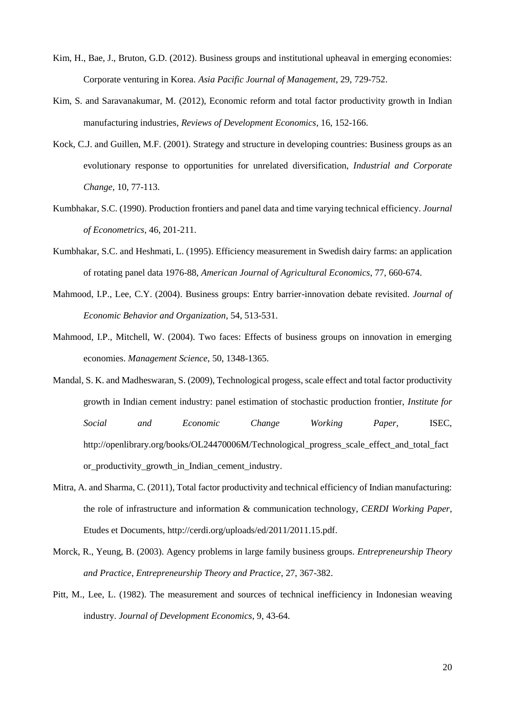- Kim, H., Bae, J., Bruton, G.D. (2012). Business groups and institutional upheaval in emerging economies: Corporate venturing in Korea. *Asia Pacific Journal of Management*, 29, 729-752.
- Kim, S. and Saravanakumar, M. (2012), Economic reform and total factor productivity growth in Indian manufacturing industries, *Reviews of Development Economics*, 16, 152-166.
- Kock, C.J. and Guillen, M.F. (2001). Strategy and structure in developing countries: Business groups as an evolutionary response to opportunities for unrelated diversification, *Industrial and Corporate Change*, 10, 77-113.
- Kumbhakar, S.C. (1990). Production frontiers and panel data and time varying technical efficiency. *Journal of Econometrics*, 46, 201-211.
- Kumbhakar, S.C. and Heshmati, L. (1995). Efficiency measurement in Swedish dairy farms: an application of rotating panel data 1976-88, *American Journal of Agricultural Economics*, 77, 660-674.
- Mahmood, I.P., Lee, C.Y. (2004). Business groups: Entry barrier-innovation debate revisited. *Journal of Economic Behavior and Organization*, 54, 513-531.
- Mahmood, I.P., Mitchell, W. (2004). Two faces: Effects of business groups on innovation in emerging economies. *Management Science*, 50, 1348-1365.
- Mandal, S. K. and Madheswaran, S. (2009), Technological progess, scale effect and total factor productivity growth in Indian cement industry: panel estimation of stochastic production frontier, *Institute for Social and Economic Change Working Paper,* ISEC, http://openlibrary.org/books/OL24470006M/Technological\_progress\_scale\_effect\_and\_total\_fact or productivity growth in Indian cement industry.
- Mitra, A. and Sharma, C. (2011), Total factor productivity and technical efficiency of Indian manufacturing: the role of infrastructure and information & communication technology, *CERDI Working Paper*, Etudes et Documents, http://cerdi.org/uploads/ed/2011/2011.15.pdf.
- Morck, R., Yeung, B. (2003). Agency problems in large family business groups. *Entrepreneurship Theory and Practice*, *Entrepreneurship Theory and Practice*, 27, 367-382.
- Pitt, M., Lee, L. (1982). The measurement and sources of technical inefficiency in Indonesian weaving industry. *Journal of Development Economics*, 9, 43-64.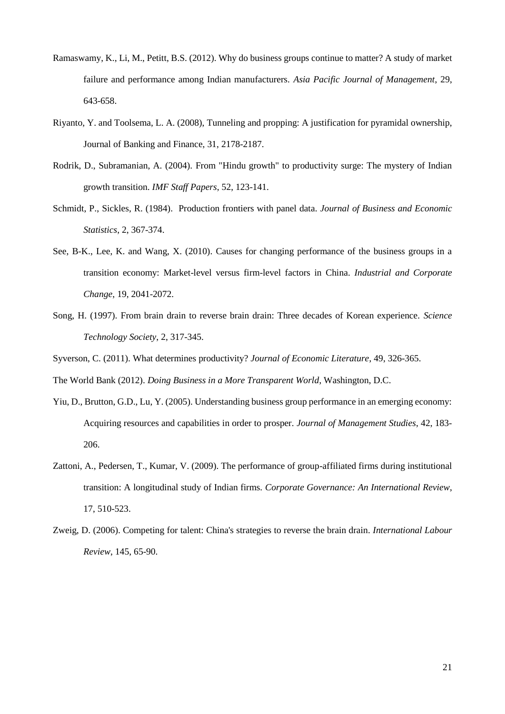- Ramaswamy, K., Li, M., Petitt, B.S. (2012). Why do business groups continue to matter? A study of market failure and performance among Indian manufacturers. *Asia Pacific Journal of Management*, 29, 643-658.
- Riyanto, Y. and Toolsema, L. A. (2008), Tunneling and propping: A justification for pyramidal ownership, Journal of Banking and Finance, 31, 2178-2187.
- Rodrik, D., Subramanian, A. (2004). From "Hindu growth" to productivity surge: The mystery of Indian growth transition. *IMF Staff Papers*, 52, 123-141.
- Schmidt, P., Sickles, R. (1984). Production frontiers with panel data. *Journal of Business and Economic Statistics*, 2, 367-374.
- See, B-K., Lee, K. and Wang, X. (2010). Causes for changing performance of the business groups in a transition economy: Market-level versus firm-level factors in China. *Industrial and Corporate Change*, 19, 2041-2072.
- Song, H. (1997). From brain drain to reverse brain drain: Three decades of Korean experience. *Science Technology Society*, 2, 317-345.
- Syverson, C. (2011). What determines productivity? *Journal of Economic Literature*, 49, 326-365.

The World Bank (2012). *Doing Business in a More Transparent World*, Washington, D.C.

- Yiu, D., Brutton, G.D., Lu, Y. (2005). Understanding business group performance in an emerging economy: Acquiring resources and capabilities in order to prosper. *Journal of Management Studies*, 42, 183- 206.
- Zattoni, A., Pedersen, T., Kumar, V. (2009). The performance of group-affiliated firms during institutional transition: A longitudinal study of Indian firms. *Corporate Governance: An International Review*, 17, 510-523.
- Zweig, D. (2006). Competing for talent: China's strategies to reverse the brain drain. *International Labour Review*, 145, 65-90.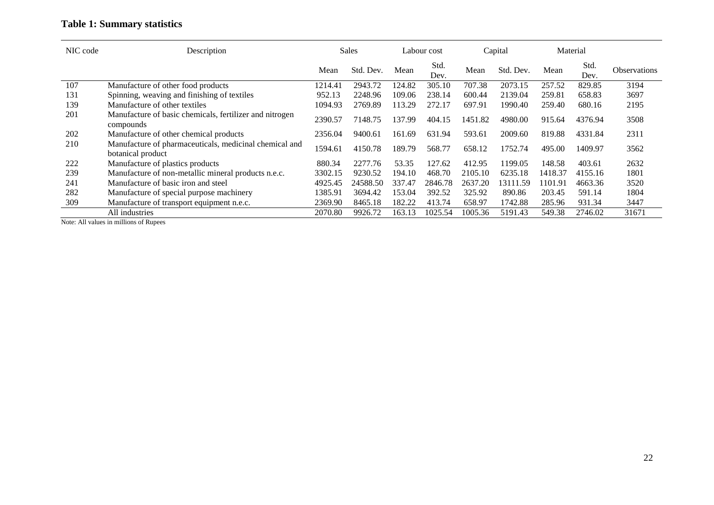### **Table 1: Summary statistics**

| NIC code                           | Description                                                                 |         | <b>Sales</b> |        | Labour cost  |             | Capital   |         | Material     |                     |
|------------------------------------|-----------------------------------------------------------------------------|---------|--------------|--------|--------------|-------------|-----------|---------|--------------|---------------------|
|                                    |                                                                             | Mean    | Std. Dev.    | Mean   | Std.<br>Dev. | Mean        | Std. Dev. | Mean    | Std.<br>Dev. | <b>Observations</b> |
| 107                                | Manufacture of other food products                                          | 1214.41 | 2943.72      | 124.82 | 305.10       | 707.38      | 2073.15   | 257.52  | 829.85       | 3194                |
| 131                                | Spinning, weaving and finishing of textiles                                 | 952.13  | 2248.96      | 109.06 | 238.14       | 600.44      | 2139.04   | 259.81  | 658.83       | 3697                |
| 139                                | Manufacture of other textiles                                               | 1094.93 | 2769.89      | 113.29 | 272.17       | 697.91      | 1990.40   | 259.40  | 680.16       | 2195                |
| 201                                | Manufacture of basic chemicals, fertilizer and nitrogen<br>compounds        | 2390.57 | 7148.75      | 137.99 | 404.15       | .82<br>1451 | 4980.00   | 915.64  | 4376.94      | 3508                |
| 202                                | Manufacture of other chemical products                                      | 2356.04 | 9400.61      | 161.69 | 631.94       | 593.61      | 2009.60   | 819.88  | 4331.84      | 2311                |
| 210                                | Manufacture of pharmaceuticals, medicinal chemical and<br>botanical product | 1594.61 | 4150.78      | 189.79 | 568.77       | 658.12      | 1752.74   | 495.00  | 1409.97      | 3562                |
| 222                                | Manufacture of plastics products                                            | 880.34  | 2277.76      | 53.35  | 127.62       | 412.95      | 1199.05   | 148.58  | 403.61       | 2632                |
| 239                                | Manufacture of non-metallic mineral products n.e.c.                         | 3302.15 | 9230.52      | 194.10 | 468.70       | 2105.10     | 6235.18   | 1418.37 | 4155.16      | 1801                |
| 241                                | Manufacture of basic iron and steel                                         | 4925.45 | 24588.50     | 337.47 | 2846.78      | 2637.20     | 13111.59  | 1101.91 | 4663.36      | 3520                |
| 282                                | Manufacture of special purpose machinery                                    | 1385.91 | 3694.42      | 153.04 | 392.52       | 325.92      | 890.86    | 203.45  | 591.14       | 1804                |
| 309                                | Manufacture of transport equipment n.e.c.                                   | 2369.90 | 8465.18      | 182.22 | 413.74       | 658.97      | 1742.88   | 285.96  | 931.34       | 3447                |
| $\sim$ $\sim$ $\sim$ $\sim$ $\sim$ | All industries                                                              | 2070.80 | 9926.72      | 163.13 | 1025.54      | 1005.36     | 5191.43   | 549.38  | 2746.02      | 31671               |

Note: All values in millions of Rupees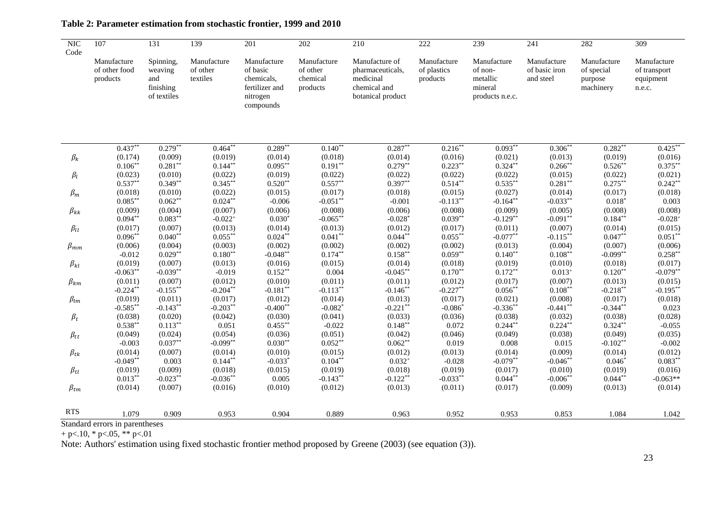| $\overline{\text{NIC}}$<br>Code | 107                                      | 131                                                     | 139                                 | 201                                                                              | 202                                             | 210                                                                                  | 222                                    | 239                                                              | $\overline{241}$                          | 282                                               | 309                                                |
|---------------------------------|------------------------------------------|---------------------------------------------------------|-------------------------------------|----------------------------------------------------------------------------------|-------------------------------------------------|--------------------------------------------------------------------------------------|----------------------------------------|------------------------------------------------------------------|-------------------------------------------|---------------------------------------------------|----------------------------------------------------|
|                                 | Manufacture<br>of other food<br>products | Spinning,<br>weaving<br>and<br>finishing<br>of textiles | Manufacture<br>of other<br>textiles | Manufacture<br>of basic<br>chemicals,<br>fertilizer and<br>nitrogen<br>compounds | Manufacture<br>of other<br>chemical<br>products | Manufacture of<br>pharmaceuticals,<br>medicinal<br>chemical and<br>botanical product | Manufacture<br>of plastics<br>products | Manufacture<br>of non-<br>metallic<br>mineral<br>products n.e.c. | Manufacture<br>of basic iron<br>and steel | Manufacture<br>of special<br>purpose<br>machinery | Manufacture<br>of transport<br>equipment<br>n.e.c. |
|                                 |                                          |                                                         |                                     |                                                                                  |                                                 | $0.287**$                                                                            |                                        |                                                                  |                                           |                                                   | $0.425***$                                         |
|                                 | $0.437**$                                | $0.279**$                                               | $0.464***$                          | $0.289**$                                                                        | $0.140**$                                       |                                                                                      | $0.216**$                              | $0.093**$                                                        | $0.306**$                                 | $0.282**$                                         |                                                    |
| $\beta_k$                       | (0.174)                                  | (0.009)                                                 | (0.019)                             | (0.014)                                                                          | (0.018)                                         | (0.014)                                                                              | (0.016)                                | (0.021)                                                          | (0.013)                                   | (0.019)                                           | (0.016)                                            |
|                                 | $0.106**$                                | $0.281**$                                               | $0.144***$                          | $0.095***$                                                                       | $0.191**$                                       | $0.279**$                                                                            | $0.223**$                              | $0.324**$                                                        | $0.266***$                                | $0.526**$                                         | $0.375***$                                         |
| $\beta_l$                       | (0.023)                                  | (0.010)                                                 | (0.022)<br>$0.345**$                | (0.019)                                                                          | (0.022)<br>$0.557**$                            | (0.022)<br>$0.397**$                                                                 | (0.022)<br>$0.514***$                  | (0.022)<br>$0.535***$                                            | (0.015)                                   | (0.022)                                           | (0.021)                                            |
|                                 | $0.537**$                                | $0.349**$                                               |                                     | $0.520**$                                                                        |                                                 |                                                                                      |                                        |                                                                  | $0.281**$                                 | $0.275***$                                        | $0.242**$                                          |
| $\beta_m$                       | (0.018)                                  | (0.010)                                                 | (0.022)                             | (0.015)                                                                          | (0.017)                                         | (0.018)                                                                              | (0.015)                                | (0.027)                                                          | (0.014)                                   | (0.017)                                           | (0.018)                                            |
|                                 | $0.085***$                               | $0.062**$                                               | $0.024**$                           | $-0.006$                                                                         | $-0.051**$                                      | $-0.001$                                                                             | $-0.113**$                             | $-0.164**$                                                       | $-0.033**$                                | $0.018*$                                          | 0.003                                              |
| $\beta_{kk}$                    | (0.009)                                  | (0.004)                                                 | (0.007)                             | (0.006)                                                                          | (0.008)                                         | (0.006)                                                                              | (0.008)                                | (0.009)                                                          | (0.005)                                   | (0.008)                                           | (0.008)                                            |
|                                 | $0.094**$                                | $0.083**$                                               | $-0.022$ <sup>+</sup>               | $0.030*$                                                                         | $-0.065**$                                      | $-0.028*$                                                                            | $0.039**$                              | $-0.129**$                                                       | $-0.091**$                                | $0.184**$                                         | $-0.028+$                                          |
| $\beta_{ll}$                    | (0.017)                                  | (0.007)                                                 | (0.013)                             | (0.014)                                                                          | (0.013)                                         | (0.012)                                                                              | (0.017)                                | (0.011)                                                          | (0.007)                                   | (0.014)                                           | (0.015)                                            |
|                                 | $0.096**$                                | $0.040**$                                               | $0.055***$                          | $0.024***$                                                                       | $0.041**$                                       | $0.044**$                                                                            | $0.055***$                             | $-0.077**$                                                       | $-0.115***$                               | $0.047**$                                         | $0.051**$                                          |
| $\beta_{mm}$                    | (0.006)                                  | (0.004)                                                 | (0.003)                             | (0.002)                                                                          | (0.002)                                         | (0.002)                                                                              | (0.002)                                | (0.013)                                                          | (0.004)                                   | (0.007)                                           | (0.006)                                            |
|                                 | $-0.012$                                 | $0.029**$                                               | $0.180**$                           | $-0.048**$                                                                       | $0.174**$                                       | $0.158***$                                                                           | $0.059**$                              | $0.140**$                                                        | $0.108***$                                | $-0.099**$                                        | $0.258**$                                          |
| $\beta_{kl}$                    | (0.019)                                  | (0.007)                                                 | (0.013)                             | (0.016)                                                                          | (0.015)                                         | (0.014)                                                                              | (0.018)                                | (0.019)                                                          | (0.010)                                   | (0.018)                                           | (0.017)                                            |
|                                 | $-0.063**$                               | $-0.039**$                                              | $-0.019$                            | $0.152**$                                                                        | 0.004                                           | $-0.045**$                                                                           | $0.170**$                              | $0.172**$                                                        | $0.013+$                                  | $0.120**$                                         | $-0.079**$                                         |
| $\beta_{km}$                    | (0.011)                                  | (0.007)                                                 | (0.012)                             | (0.010)                                                                          | (0.011)                                         | (0.011)                                                                              | (0.012)                                | (0.017)                                                          | (0.007)                                   | (0.013)                                           | (0.015)                                            |
|                                 | $-0.224***$                              | $-0.155***$                                             | $-0.204**$                          | $-0.181**$                                                                       | $-0.113**$                                      | $-0.146**$                                                                           | $-0.227**$                             | $0.056**$                                                        | $0.108***$                                | $-0.218**$                                        | $-0.195***$                                        |
| $\beta_{lm}$                    | (0.019)                                  | (0.011)                                                 | (0.017)                             | (0.012)                                                                          | (0.014)                                         | (0.013)                                                                              | (0.017)                                | (0.021)                                                          | (0.008)                                   | (0.017)                                           | (0.018)                                            |
|                                 | $-0.585**$                               | $-0.143**$                                              | $-0.203**$                          | $-0.400**$                                                                       | $-0.082*$                                       | $-0.221**$                                                                           | $-0.086*$                              | $-0.336**$                                                       | $-0.441**$                                | $-0.344**$                                        | 0.023                                              |
| $\beta_t$                       | (0.038)                                  | (0.020)                                                 | (0.042)                             | (0.030)                                                                          | (0.041)                                         | (0.033)                                                                              | (0.036)                                | (0.038)                                                          | (0.032)                                   | (0.038)                                           | (0.028)                                            |
|                                 | $0.538***$                               | $0.113***$                                              | 0.051                               | $0.455***$                                                                       | $-0.022$                                        | $0.148**$                                                                            | 0.072                                  | $0.244**$                                                        | $0.224***$                                | $0.324**$                                         | $-0.055$                                           |
| $\beta_{tt}$                    | (0.049)                                  | (0.024)                                                 | (0.054)                             | (0.036)                                                                          | (0.051)                                         | (0.042)                                                                              | (0.046)                                | (0.049)                                                          | (0.038)                                   | (0.049)                                           | (0.035)                                            |
|                                 | $-0.003$                                 | $0.037**$                                               | $-0.099**$                          | $0.030**$                                                                        | $0.052**$                                       | $0.062**$                                                                            | 0.019                                  | 0.008                                                            | 0.015                                     | $-0.102**$                                        | $-0.002$                                           |
| $\beta_{tk}$                    | (0.014)                                  | (0.007)                                                 | (0.014)                             | (0.010)                                                                          | (0.015)                                         | (0.012)                                                                              | (0.013)                                | (0.014)                                                          | (0.009)                                   | (0.014)                                           | (0.012)                                            |
|                                 | $-0.049**$                               | 0.003                                                   | $0.144***$                          | $-0.033*$                                                                        | $0.104***$                                      | $0.032^{+}$                                                                          | $-0.028$                               | $-0.079**$                                                       | $-0.046**$                                | $0.046*$                                          | $0.083**$                                          |
| $\beta_{tl}$                    | (0.019)                                  | (0.009)                                                 | (0.018)                             | (0.015)                                                                          | (0.019)                                         | (0.018)                                                                              | (0.019)                                | (0.017)                                                          | (0.010)                                   | (0.019)                                           | (0.016)                                            |
|                                 | $0.013***$                               | $-0.023**$                                              | $-0.036**$                          | 0.005                                                                            | $-0.143**$                                      | $-0.122**$                                                                           | $-0.033**$                             | $0.044**$                                                        | $-0.006**$                                | $0.044**$                                         | $-0.063**$                                         |
| $\beta_{tm}$                    | (0.014)                                  | (0.007)                                                 | (0.016)                             | (0.010)                                                                          | (0.012)                                         | (0.013)                                                                              | (0.011)                                | (0.017)                                                          | (0.009)                                   | (0.013)                                           | (0.014)                                            |
| <b>RTS</b>                      | 1.079                                    | 0.909                                                   | 0.953                               | 0.904                                                                            | 0.889                                           | 0.963                                                                                | 0.952                                  | 0.953                                                            | 0.853                                     | 1.084                                             | 1.042                                              |

### **Table 2: Parameter estimation from stochastic frontier, 1999 and 2010**

 $+$  p $<$ .10,  $*$  p $<$ .05,  $**$  p $<$ .01

Note: Authors' estimation using fixed stochastic frontier method proposed by Greene (2003) (see equation (3)).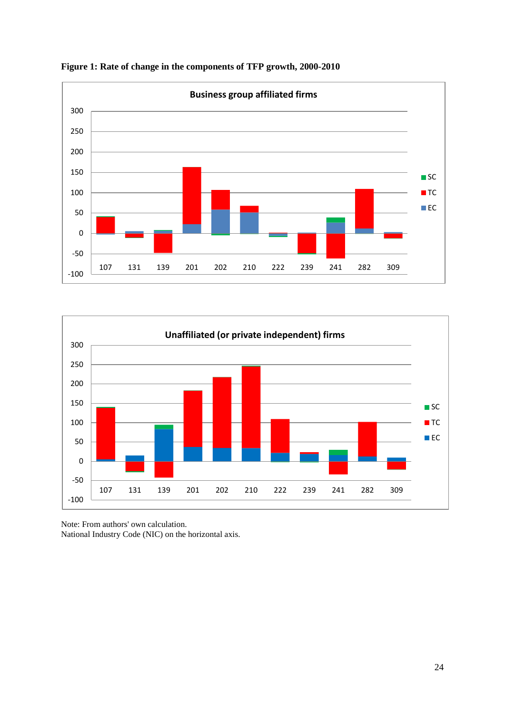





Note: From authors' own calculation.

National Industry Code (NIC) on the horizontal axis.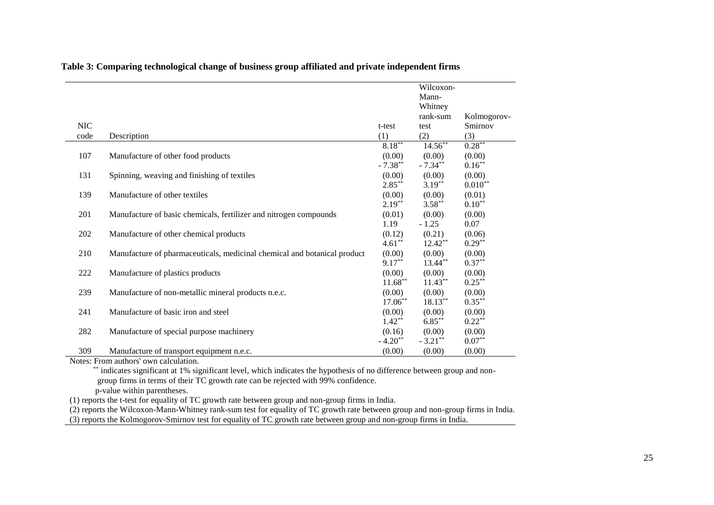|            |                                                                          |            | Wilcoxon-  |             |
|------------|--------------------------------------------------------------------------|------------|------------|-------------|
|            |                                                                          |            | Mann-      |             |
|            |                                                                          |            | Whitney    |             |
|            |                                                                          |            | rank-sum   | Kolmogorov- |
| <b>NIC</b> |                                                                          | t-test     | test       | Smirnov     |
| code       | Description                                                              | (1)        | (2)        | (3)         |
|            |                                                                          | $8.18***$  | $14.56**$  | $0.28***$   |
| 107        | Manufacture of other food products                                       | (0.00)     | (0.00)     | (0.00)      |
|            |                                                                          | $-7.38***$ | $-7.34***$ | $0.16***$   |
| 131        | Spinning, weaving and finishing of textiles                              | (0.00)     | (0.00)     | (0.00)      |
|            |                                                                          | $2.85***$  | $3.19***$  | $0.010**$   |
| 139        | Manufacture of other textiles                                            | (0.00)     | (0.00)     | (0.01)      |
|            |                                                                          | $2.19***$  | $3.58***$  | $0.10***$   |
| 201        | Manufacture of basic chemicals, fertilizer and nitrogen compounds        | (0.01)     | (0.00)     | (0.00)      |
|            |                                                                          | 1.19       | $-1.25$    | 0.07        |
| 202        | Manufacture of other chemical products                                   | (0.12)     | (0.21)     | (0.06)      |
|            |                                                                          | $4.61***$  | $12.42**$  | $0.29***$   |
| 210        | Manufacture of pharmaceuticals, medicinal chemical and botanical product | (0.00)     | (0.00)     | (0.00)      |
|            |                                                                          | $9.17***$  | 13.44**    | $0.37***$   |
| 222        | Manufacture of plastics products                                         | (0.00)     | (0.00)     | (0.00)      |
|            |                                                                          | $11.68***$ | $11.43***$ | $0.25***$   |
| 239        | Manufacture of non-metallic mineral products n.e.c.                      | (0.00)     | (0.00)     | (0.00)      |
|            |                                                                          | $17.06**$  | $18.13***$ | $0.35***$   |
| 241        | Manufacture of basic iron and steel                                      | (0.00)     | (0.00)     | (0.00)      |
|            |                                                                          | $1.42**$   | $6.85***$  | $0.22***$   |
| 282        | Manufacture of special purpose machinery                                 | (0.16)     | (0.00)     | (0.00)      |
|            |                                                                          | $-4.20**$  | $-3.21***$ | $0.07**$    |
| 309        | Manufacture of transport equipment n.e.c.                                | (0.00)     | (0.00)     | (0.00)      |

**Table 3: Comparing technological change of business group affiliated and private independent firms**

Notes: From authors' own calculation.

\*\*\* indicates significant at 1% significant level, which indicates the hypothesis of no difference between group and nongroup firms in terms of their TC growth rate can be rejected with 99% confidence.

p-value within parentheses.

(1) reports the t-test for equality of TC growth rate between group and non-group firms in India.

 $(2)$  reports the Wilcoxon-Mann-Whitney rank-sum test for equality of TC growth rate between group and non-group firms in India.

(3) reports the Kolmogorov-Smirnov test for equality of TC growth rate between group and non-group firms in India.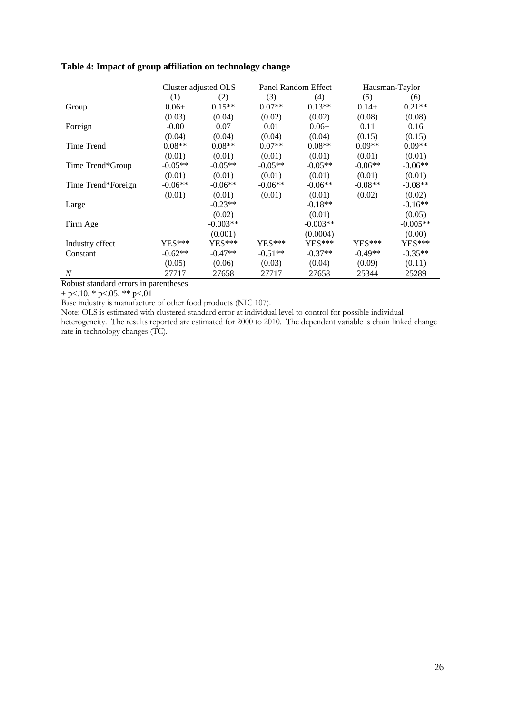|                    |           | Cluster adjusted OLS |           | Panel Random Effect |           | Hausman-Taylor |
|--------------------|-----------|----------------------|-----------|---------------------|-----------|----------------|
|                    | (1)       | (2)                  | (3)       | (4)                 | (5)       | (6)            |
| Group              | $0.06+$   | $0.15**$             | $0.07**$  | $0.13**$            | $0.14+$   | $0.21**$       |
|                    | (0.03)    | (0.04)               | (0.02)    | (0.02)              | (0.08)    | (0.08)         |
| Foreign            | $-0.00$   | 0.07                 | 0.01      | $0.06+$             | 0.11      | 0.16           |
|                    | (0.04)    | (0.04)               | (0.04)    | (0.04)              | (0.15)    | (0.15)         |
| Time Trend         | $0.08**$  | $0.08**$             | $0.07**$  | $0.08**$            | $0.09**$  | $0.09**$       |
|                    | (0.01)    | (0.01)               | (0.01)    | (0.01)              | (0.01)    | (0.01)         |
| Time Trend*Group   | $-0.05**$ | $-0.05**$            | $-0.05**$ | $-0.05**$           | $-0.06**$ | $-0.06**$      |
|                    | (0.01)    | (0.01)               | (0.01)    | (0.01)              | (0.01)    | (0.01)         |
| Time Trend*Foreign | $-0.06**$ | $-0.06**$            | $-0.06**$ | $-0.06**$           | $-0.08**$ | $-0.08**$      |
|                    | (0.01)    | (0.01)               | (0.01)    | (0.01)              | (0.02)    | (0.02)         |
| Large              |           | $-0.23**$            |           | $-0.18**$           |           | $-0.16**$      |
|                    |           | (0.02)               |           | (0.01)              |           | (0.05)         |
| Firm Age           |           | $-0.003**$           |           | $-0.003**$          |           | $-0.005**$     |
|                    |           | (0.001)              |           | (0.0004)            |           | (0.00)         |
| Industry effect    | $YES***$  | $YES***$             | $YES***$  | $YES***$            | $YES***$  | YES***         |
| Constant           | $-0.62**$ | $-0.47**$            | $-0.51**$ | $-0.37**$           | $-0.49**$ | $-0.35**$      |
|                    | (0.05)    | (0.06)               | (0.03)    | (0.04)              | (0.09)    | (0.11)         |
| $\overline{N}$     | 27717     | 27658                | 27717     | 27658               | 25344     | 25289          |

#### **Table 4: Impact of group affiliation on technology change**

Robust standard errors in parentheses

+ p $< 10$ , \* p $< 05$ , \*\* p $< 01$ 

Base industry is manufacture of other food products (NIC 107).

Note: OLS is estimated with clustered standard error at individual level to control for possible individual heterogeneity. The results reported are estimated for 2000 to 2010. The dependent variable is chain linked change rate in technology changes (TC).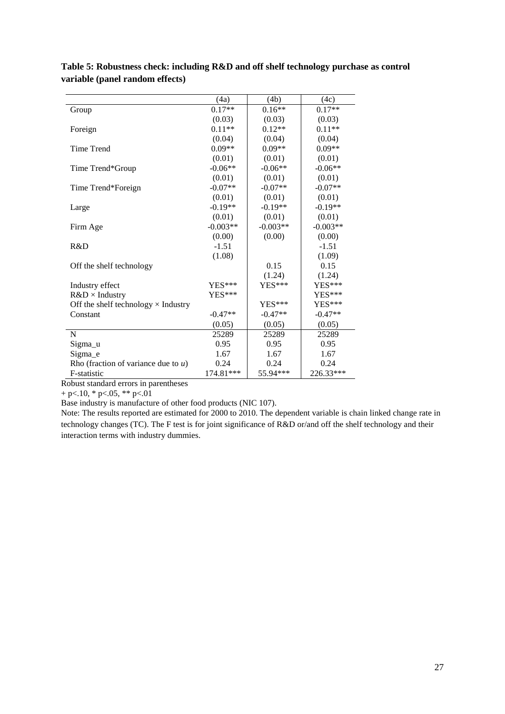|                                            | (4a)       | (4b)       | (4c)       |
|--------------------------------------------|------------|------------|------------|
| Group                                      | $0.17**$   | $0.16**$   | $0.17**$   |
|                                            | (0.03)     | (0.03)     | (0.03)     |
| Foreign                                    | $0.11**$   | $0.12**$   | $0.11**$   |
|                                            | (0.04)     | (0.04)     | (0.04)     |
| <b>Time Trend</b>                          | $0.09**$   | $0.09**$   | $0.09**$   |
|                                            | (0.01)     | (0.01)     | (0.01)     |
| Time Trend*Group                           | $-0.06**$  | $-0.06**$  | $-0.06**$  |
|                                            | (0.01)     | (0.01)     | (0.01)     |
| Time Trend*Foreign                         | $-0.07**$  | $-0.07**$  | $-0.07**$  |
|                                            | (0.01)     | (0.01)     | (0.01)     |
| Large                                      | $-0.19**$  | $-0.19**$  | $-0.19**$  |
|                                            | (0.01)     | (0.01)     | (0.01)     |
| Firm Age                                   | $-0.003**$ | $-0.003**$ | $-0.003**$ |
|                                            | (0.00)     | (0.00)     | (0.00)     |
| R&D                                        | $-1.51$    |            | $-1.51$    |
|                                            | (1.08)     |            | (1.09)     |
| Off the shelf technology                   |            | 0.15       | 0.15       |
|                                            |            | (1.24)     | (1.24)     |
| Industry effect                            | YES***     | $YES***$   | YES***     |
| $R&D\times$ Industry                       | $YES***$   |            | YES***     |
| Off the shelf technology $\times$ Industry |            | $YES***$   | YES***     |
| Constant                                   | $-0.47**$  | $-0.47**$  | $-0.47**$  |
|                                            | (0.05)     | (0.05)     | (0.05)     |
| N                                          | 25289      | 25289      | 25289      |
| Sigma_u                                    | 0.95       | 0.95       | 0.95       |
| Sigma_e                                    | 1.67       | 1.67       | 1.67       |
| Rho (fraction of variance due to $u$ )     | 0.24       | 0.24       | 0.24       |
| F-statistic                                | 174.81***  | 55.94***   | 226.33***  |

**Table 5: Robustness check: including R&D and off shelf technology purchase as control variable (panel random effects)**

Robust standard errors in parentheses

+ p $< 10$ , \* p $< 05$ , \*\* p $< 01$ 

Base industry is manufacture of other food products (NIC 107).

Note: The results reported are estimated for 2000 to 2010. The dependent variable is chain linked change rate in technology changes (TC). The F test is for joint significance of R&D or/and off the shelf technology and their interaction terms with industry dummies.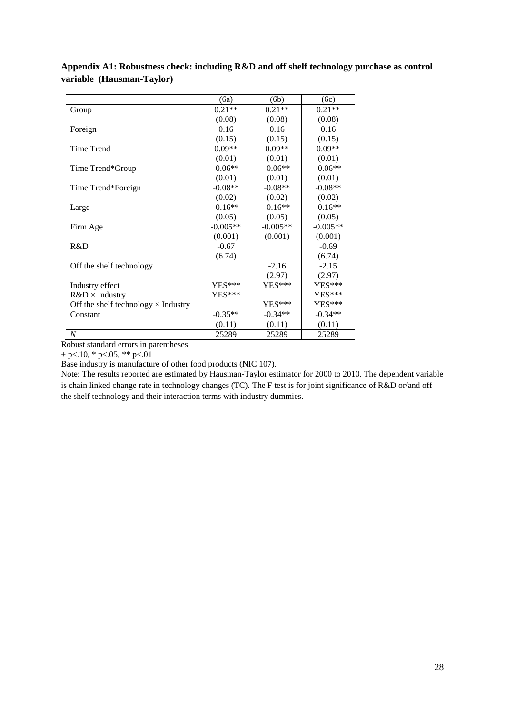|                                            | (6a)       | (6b)       | (6c)       |
|--------------------------------------------|------------|------------|------------|
| Group                                      | $0.21**$   | $0.21**$   | $0.21**$   |
|                                            | (0.08)     | (0.08)     | (0.08)     |
| Foreign                                    | 0.16       | 0.16       | 0.16       |
|                                            | (0.15)     | (0.15)     | (0.15)     |
| Time Trend                                 | $0.09**$   | $0.09**$   | $0.09**$   |
|                                            | (0.01)     | (0.01)     | (0.01)     |
| Time Trend*Group                           | $-0.06**$  | $-0.06**$  | $-0.06**$  |
|                                            | (0.01)     | (0.01)     | (0.01)     |
| Time Trend*Foreign                         | $-0.08**$  | $-0.08**$  | $-0.08**$  |
|                                            | (0.02)     | (0.02)     | (0.02)     |
| Large                                      | $-0.16**$  | $-0.16**$  | $-0.16**$  |
|                                            | (0.05)     | (0.05)     | (0.05)     |
| Firm Age                                   | $-0.005**$ | $-0.005**$ | $-0.005**$ |
|                                            | (0.001)    | (0.001)    | (0.001)    |
| R&D                                        | $-0.67$    |            | $-0.69$    |
|                                            | (6.74)     |            | (6.74)     |
| Off the shelf technology                   |            | $-2.16$    | $-2.15$    |
|                                            |            | (2.97)     | (2.97)     |
| Industry effect                            | YES***     | $YES***$   | YES***     |
| $R&D\times$ Industry                       | YES***     |            | YES***     |
| Off the shelf technology $\times$ Industry |            | $YES***$   | $YES***$   |
| Constant                                   | $-0.35**$  | $-0.34**$  | $-0.34**$  |
|                                            | (0.11)     | (0.11)     | (0.11)     |
| $\boldsymbol{N}$                           | 25289      | 25289      | 25289      |

**Appendix A1: Robustness check: including R&D and off shelf technology purchase as control variable (Hausman-Taylor)**

Robust standard errors in parentheses

 $+$  p $<$ .10,  $*$  p $<$ .05,  $**$  p $<$ .01

Base industry is manufacture of other food products (NIC 107).

Note: The results reported are estimated by Hausman-Taylor estimator for 2000 to 2010. The dependent variable is chain linked change rate in technology changes (TC). The F test is for joint significance of R&D or/and off the shelf technology and their interaction terms with industry dummies.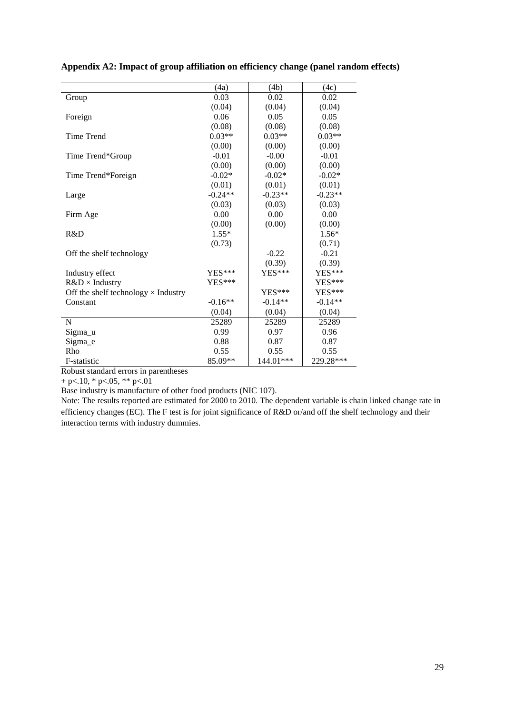|                                            | (4a)      | (4b)      | (4c)      |
|--------------------------------------------|-----------|-----------|-----------|
| Group                                      | 0.03      | 0.02      | 0.02      |
|                                            | (0.04)    | (0.04)    | (0.04)    |
| Foreign                                    | 0.06      | 0.05      | 0.05      |
|                                            | (0.08)    | (0.08)    | (0.08)    |
| <b>Time Trend</b>                          | $0.03**$  | $0.03**$  | $0.03**$  |
|                                            | (0.00)    | (0.00)    | (0.00)    |
| Time Trend*Group                           | $-0.01$   | $-0.00$   | $-0.01$   |
|                                            | (0.00)    | (0.00)    | (0.00)    |
| Time Trend*Foreign                         | $-0.02*$  | $-0.02*$  | $-0.02*$  |
|                                            | (0.01)    | (0.01)    | (0.01)    |
| Large                                      | $-0.24**$ | $-0.23**$ | $-0.23**$ |
|                                            | (0.03)    | (0.03)    | (0.03)    |
| Firm Age                                   | 0.00      | 0.00      | 0.00      |
|                                            | (0.00)    | (0.00)    | (0.00)    |
| R&D                                        | $1.55*$   |           | $1.56*$   |
|                                            | (0.73)    |           | (0.71)    |
| Off the shelf technology                   |           | $-0.22$   | $-0.21$   |
|                                            |           | (0.39)    | (0.39)    |
| Industry effect                            | YES***    | YES***    | YES***    |
| $R&D\times$ Industry                       | $YES***$  |           | YES***    |
| Off the shelf technology $\times$ Industry |           | YES***    | $YES***$  |
| Constant                                   | $-0.16**$ | $-0.14**$ | $-0.14**$ |
|                                            | (0.04)    | (0.04)    | (0.04)    |
| N                                          | 25289     | 25289     | 25289     |
| Sigma_u                                    | 0.99      | 0.97      | 0.96      |
| Sigma_e                                    | 0.88      | 0.87      | 0.87      |
| Rho                                        | 0.55      | 0.55      | 0.55      |
| F-statistic                                | 85.09**   | 144.01*** | 229.28*** |

**Appendix A2: Impact of group affiliation on efficiency change (panel random effects)**

Robust standard errors in parentheses

 $+ p<.10, * p<.05, ** p<.01$ 

Base industry is manufacture of other food products (NIC 107).

Note: The results reported are estimated for 2000 to 2010. The dependent variable is chain linked change rate in efficiency changes (EC). The F test is for joint significance of R&D or/and off the shelf technology and their interaction terms with industry dummies.